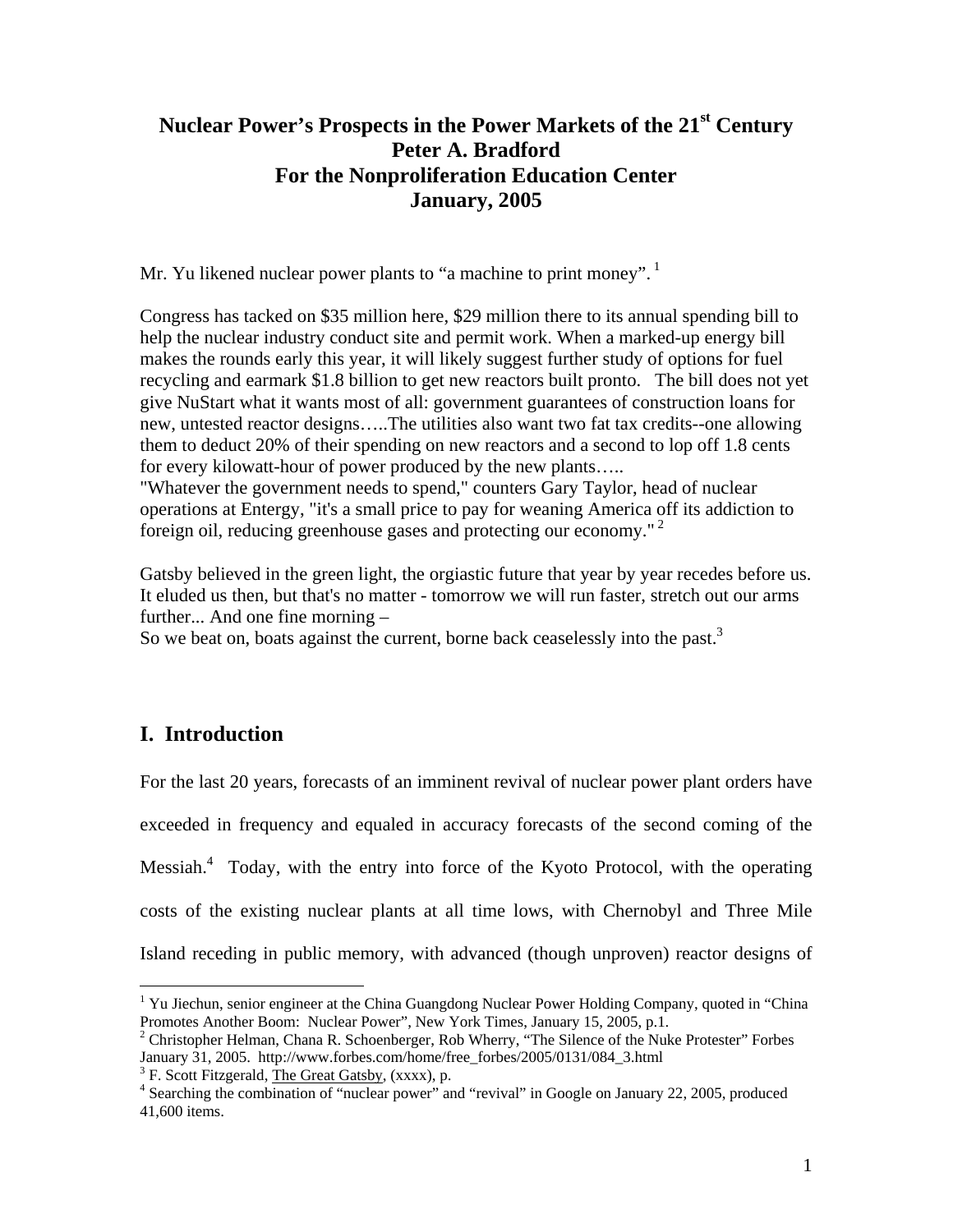# **Nuclear Power's Prospects in the Power Markets of the 21st Century Peter A. Bradford For the Nonproliferation Education Center January, 2005**

Mr. Yu likened nuclear power plants to "a machine to print money".  $\frac{1}{1}$ 

Congress has tacked on \$35 million here, \$29 million there to its annual spending bill to help the nuclear industry conduct site and permit work. When a marked-up energy bill makes the rounds early this year, it will likely suggest further study of options for fuel recycling and earmark \$1.8 billion to get new reactors built pronto. The bill does not yet give NuStart what it wants most of all: government guarantees of construction loans for new, untested reactor designs…..The utilities also want two fat tax credits--one allowing them to deduct 20% of their spending on new reactors and a second to lop off 1.8 cents for every kilowatt-hour of power produced by the new plants…..

"Whatever the government needs to spend," counters Gary Taylor, head of nuclear operations at Entergy, "it's a small price to pay for weaning America off its addiction to foreign oil, reducing greenhouse gases and protecting our economy." [2](#page-0-1)

Gatsby believed in the green light, the orgiastic future that year by year recedes before us. It eluded us then, but that's no matter - tomorrow we will run faster, stretch out our arms further... And one fine morning –

So we beat on, boats against the current, borne back ceaselessly into the past. $3$ 

# **I. Introduction**

<u>.</u>

For the last 20 years, forecasts of an imminent revival of nuclear power plant orders have exceeded in frequency and equaled in accuracy forecasts of the second coming of the Messiah. $4$  Today, with the entry into force of the Kyoto Protocol, with the operating costs of the existing nuclear plants at all time lows, with Chernobyl and Three Mile Island receding in public memory, with advanced (though unproven) reactor designs of

<span id="page-0-0"></span><sup>&</sup>lt;sup>1</sup> Yu Jiechun, senior engineer at the China Guangdong Nuclear Power Holding Company, quoted in "China Promotes Another Boom: Nuclear Power", New York Times, January 15, 2005, p.1.

<span id="page-0-1"></span><sup>&</sup>lt;sup>2</sup> Christopher Helman, Chana R. Schoenberger, Rob Wherry, "The Silence of the Nuke Protester" Forbes January 31, 2005. http://www.forbes.com/home/free\_forbes/2005/0131/084\_3.html

<span id="page-0-2"></span> $3$  F. Scott Fitzgerald, The Great Gatsby, (xxxx), p.

<span id="page-0-3"></span><sup>&</sup>lt;sup>4</sup> Searching the combination of "nuclear power" and "revival" in Google on January 22, 2005, produced 41,600 items.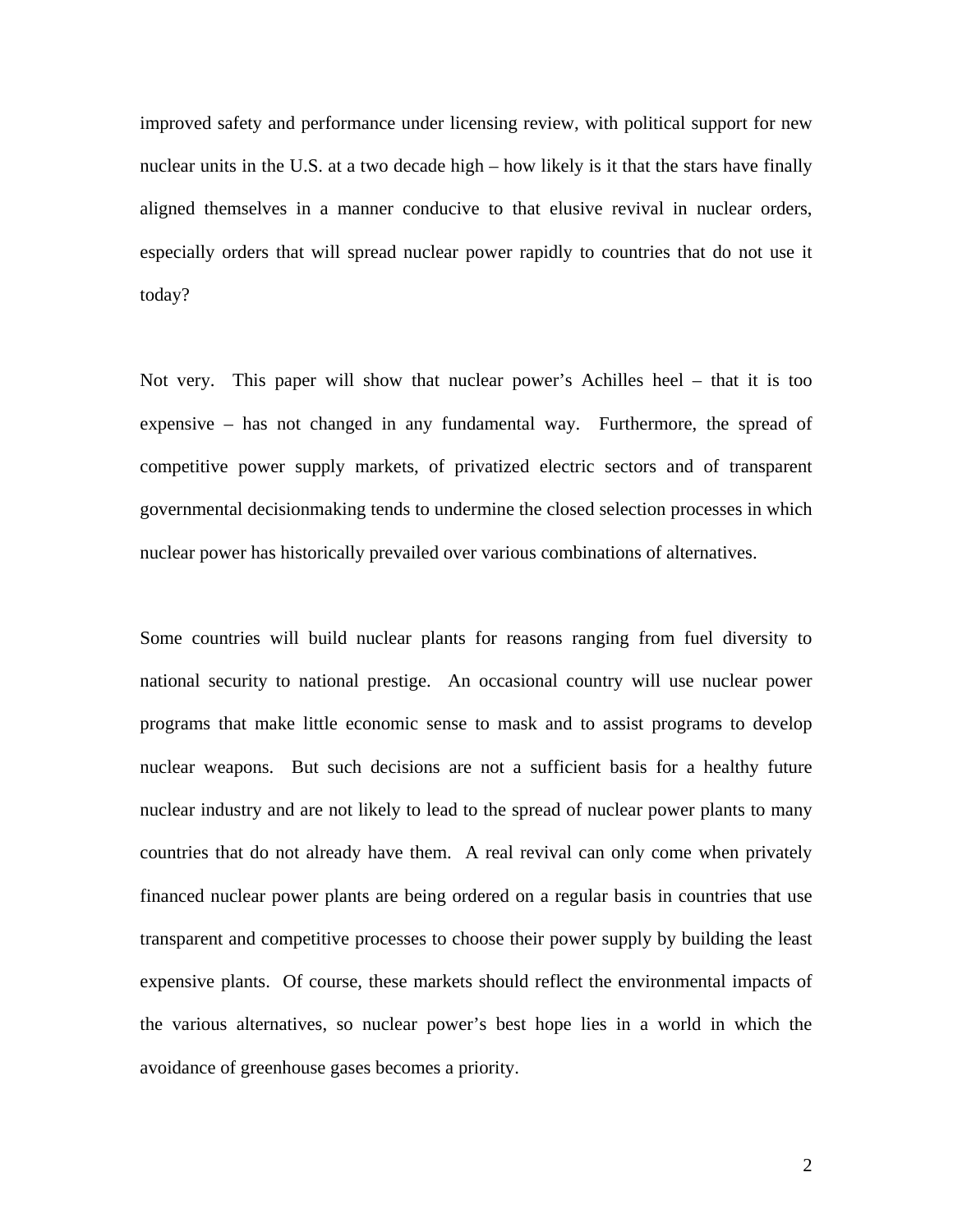improved safety and performance under licensing review, with political support for new nuclear units in the U.S. at a two decade high – how likely is it that the stars have finally aligned themselves in a manner conducive to that elusive revival in nuclear orders, especially orders that will spread nuclear power rapidly to countries that do not use it today?

Not very. This paper will show that nuclear power's Achilles heel – that it is too expensive – has not changed in any fundamental way. Furthermore, the spread of competitive power supply markets, of privatized electric sectors and of transparent governmental decisionmaking tends to undermine the closed selection processes in which nuclear power has historically prevailed over various combinations of alternatives.

Some countries will build nuclear plants for reasons ranging from fuel diversity to national security to national prestige. An occasional country will use nuclear power programs that make little economic sense to mask and to assist programs to develop nuclear weapons. But such decisions are not a sufficient basis for a healthy future nuclear industry and are not likely to lead to the spread of nuclear power plants to many countries that do not already have them. A real revival can only come when privately financed nuclear power plants are being ordered on a regular basis in countries that use transparent and competitive processes to choose their power supply by building the least expensive plants. Of course, these markets should reflect the environmental impacts of the various alternatives, so nuclear power's best hope lies in a world in which the avoidance of greenhouse gases becomes a priority.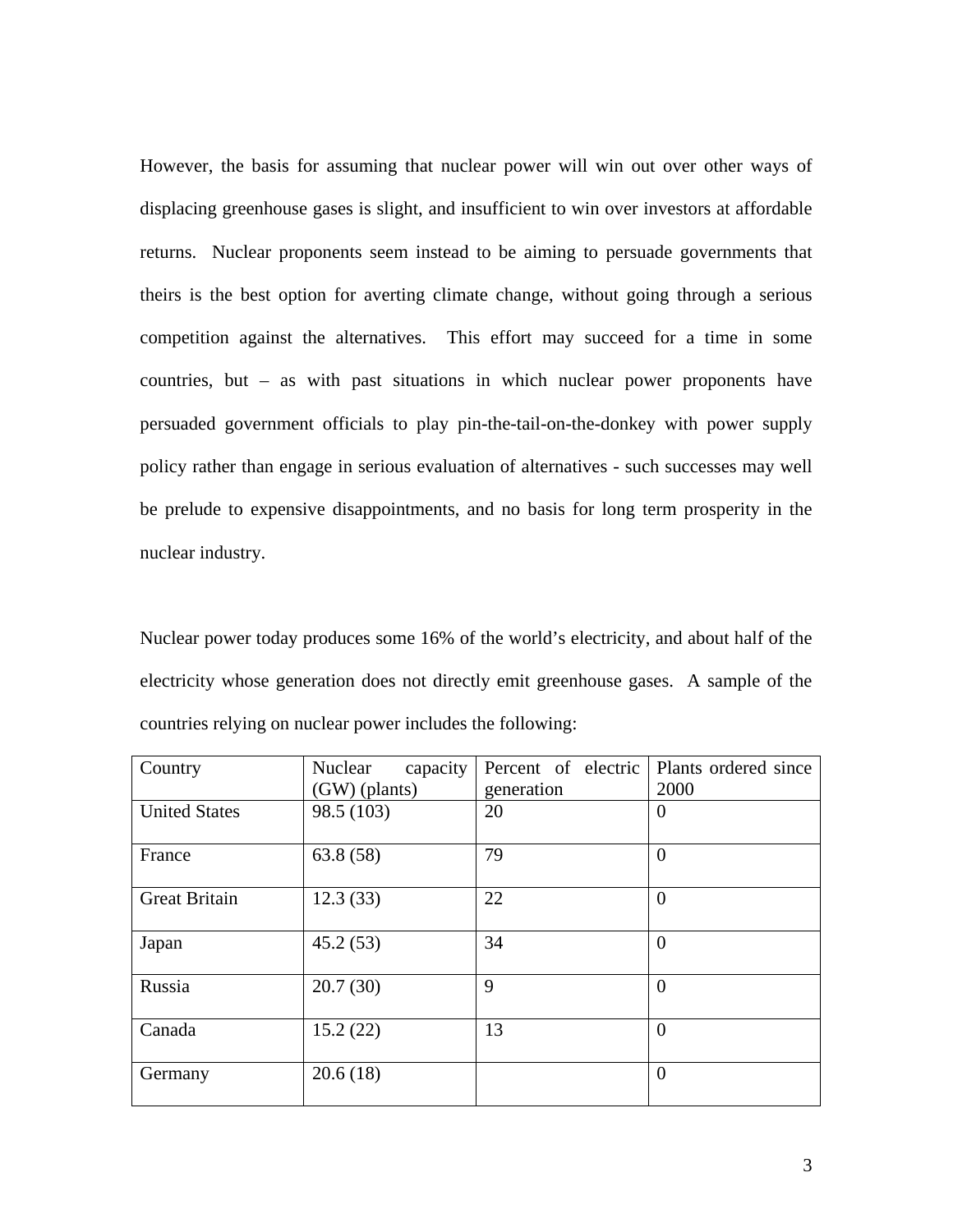However, the basis for assuming that nuclear power will win out over other ways of displacing greenhouse gases is slight, and insufficient to win over investors at affordable returns. Nuclear proponents seem instead to be aiming to persuade governments that theirs is the best option for averting climate change, without going through a serious competition against the alternatives. This effort may succeed for a time in some countries, but – as with past situations in which nuclear power proponents have persuaded government officials to play pin-the-tail-on-the-donkey with power supply policy rather than engage in serious evaluation of alternatives - such successes may well be prelude to expensive disappointments, and no basis for long term prosperity in the nuclear industry.

Nuclear power today produces some 16% of the world's electricity, and about half of the electricity whose generation does not directly emit greenhouse gases. A sample of the countries relying on nuclear power includes the following:

| Country              | Nuclear<br>capacity<br>(GW) (plants) | Percent of electric<br>generation | Plants ordered since<br>2000 |
|----------------------|--------------------------------------|-----------------------------------|------------------------------|
| <b>United States</b> | 98.5 (103)                           | 20                                | $\theta$                     |
| France               | 63.8(58)                             | 79                                | $\theta$                     |
| <b>Great Britain</b> | 12.3(33)                             | 22                                | $\overline{0}$               |
| Japan                | 45.2(53)                             | 34                                | $\overline{0}$               |
| Russia               | 20.7(30)                             | 9                                 | $\overline{0}$               |
| Canada               | 15.2(22)                             | 13                                | $\overline{0}$               |
| Germany              | 20.6(18)                             |                                   | $\overline{0}$               |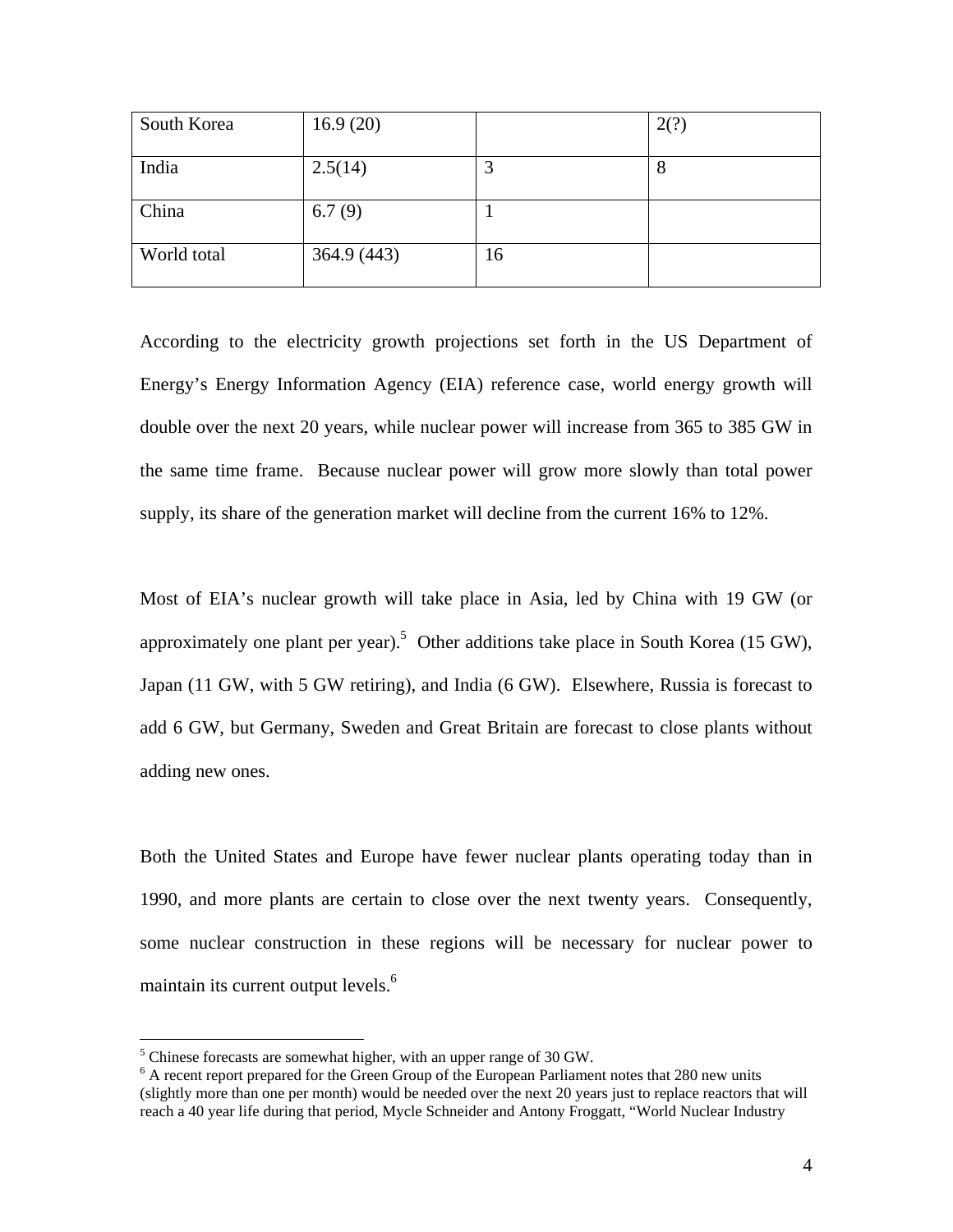| South Korea | 16.9(20)   |    | 2(?) |
|-------------|------------|----|------|
| India       | 2.5(14)    |    | 8    |
| China       | 6.7(9)     |    |      |
| World total | 364.9(443) | 16 |      |

According to the electricity growth projections set forth in the US Department of Energy's Energy Information Agency (EIA) reference case, world energy growth will double over the next 20 years, while nuclear power will increase from 365 to 385 GW in the same time frame. Because nuclear power will grow more slowly than total power supply, its share of the generation market will decline from the current 16% to 12%.

Most of EIA's nuclear growth will take place in Asia, led by China with 19 GW (or approximately one plant per year).<sup>5</sup> Other additions take place in South Korea (15 GW), Japan (11 GW, with 5 GW retiring), and India (6 GW). Elsewhere, Russia is forecast to add 6 GW, but Germany, Sweden and Great Britain are forecast to close plants without adding new ones.

Both the United States and Europe have fewer nuclear plants operating today than in 1990, and more plants are certain to close over the next twenty years. Consequently, some nuclear construction in these regions will be necessary for nuclear power to maintain its current output levels.<sup>6</sup>

 5

<span id="page-3-1"></span><span id="page-3-0"></span> $\frac{6}{\text{A recent report prepared}}$  for the Green Group of the European Parliament notes that 280 new units (slightly more than one per month) would be needed over the next 20 years just to replace reactors that will reach a 40 year life during that period, Mycle Schneider and Antony Froggatt, "World Nuclear Industry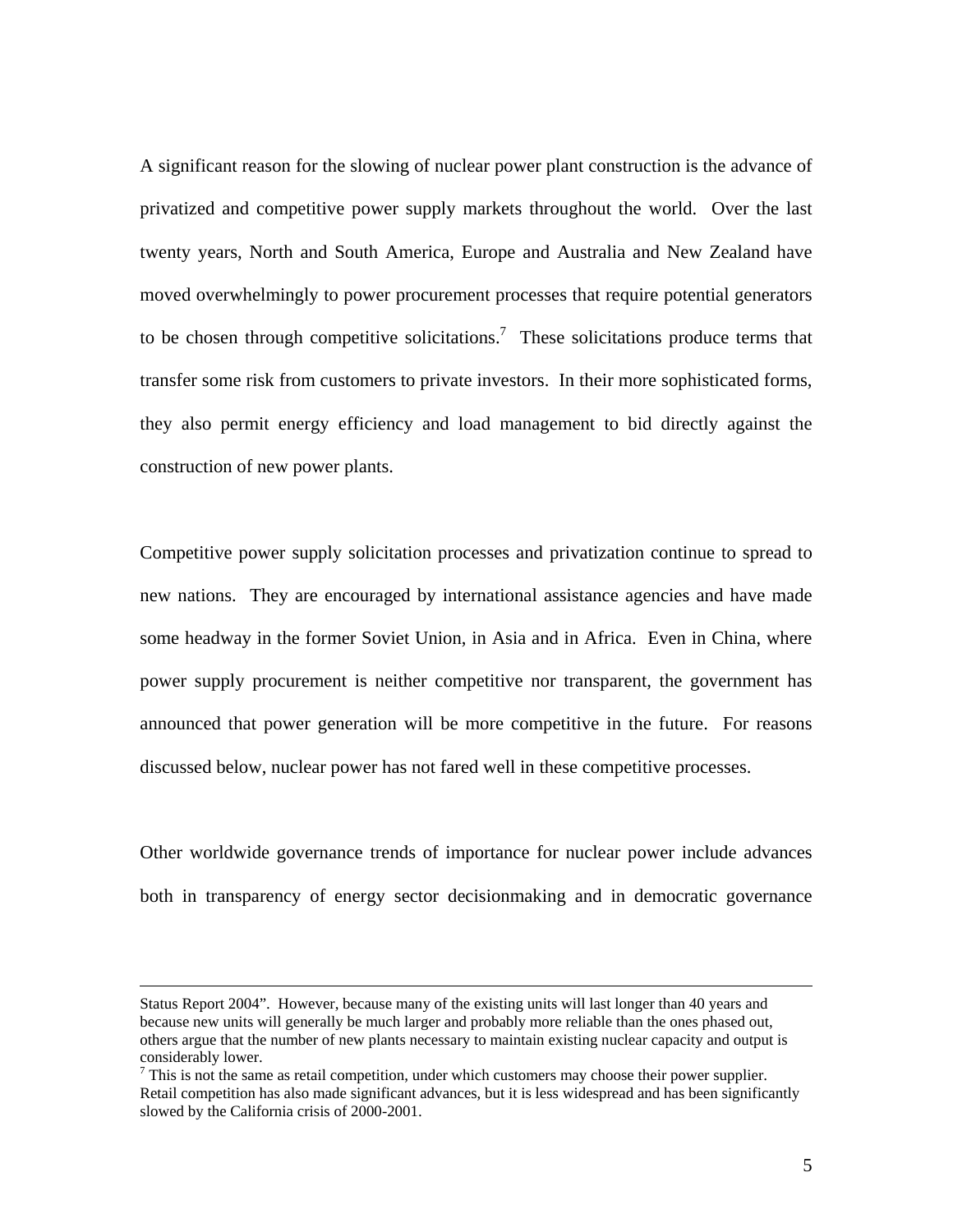A significant reason for the slowing of nuclear power plant construction is the advance of privatized and competitive power supply markets throughout the world. Over the last twenty years, North and South America, Europe and Australia and New Zealand have moved overwhelmingly to power procurement processes that require potential generators to be chosen through competitive solicitations.<sup>7</sup> These solicitations produce terms that transfer some risk from customers to private investors. In their more sophisticated forms, they also permit energy efficiency and load management to bid directly against the construction of new power plants.

Competitive power supply solicitation processes and privatization continue to spread to new nations. They are encouraged by international assistance agencies and have made some headway in the former Soviet Union, in Asia and in Africa. Even in China, where power supply procurement is neither competitive nor transparent, the government has announced that power generation will be more competitive in the future. For reasons discussed below, nuclear power has not fared well in these competitive processes.

Other worldwide governance trends of importance for nuclear power include advances both in transparency of energy sector decisionmaking and in democratic governance

Status Report 2004". However, because many of the existing units will last longer than 40 years and because new units will generally be much larger and probably more reliable than the ones phased out, others argue that the number of new plants necessary to maintain existing nuclear capacity and output is considerably lower.

<span id="page-4-0"></span> $7$  This is not the same as retail competition, under which customers may choose their power supplier. Retail competition has also made significant advances, but it is less widespread and has been significantly slowed by the California crisis of 2000-2001.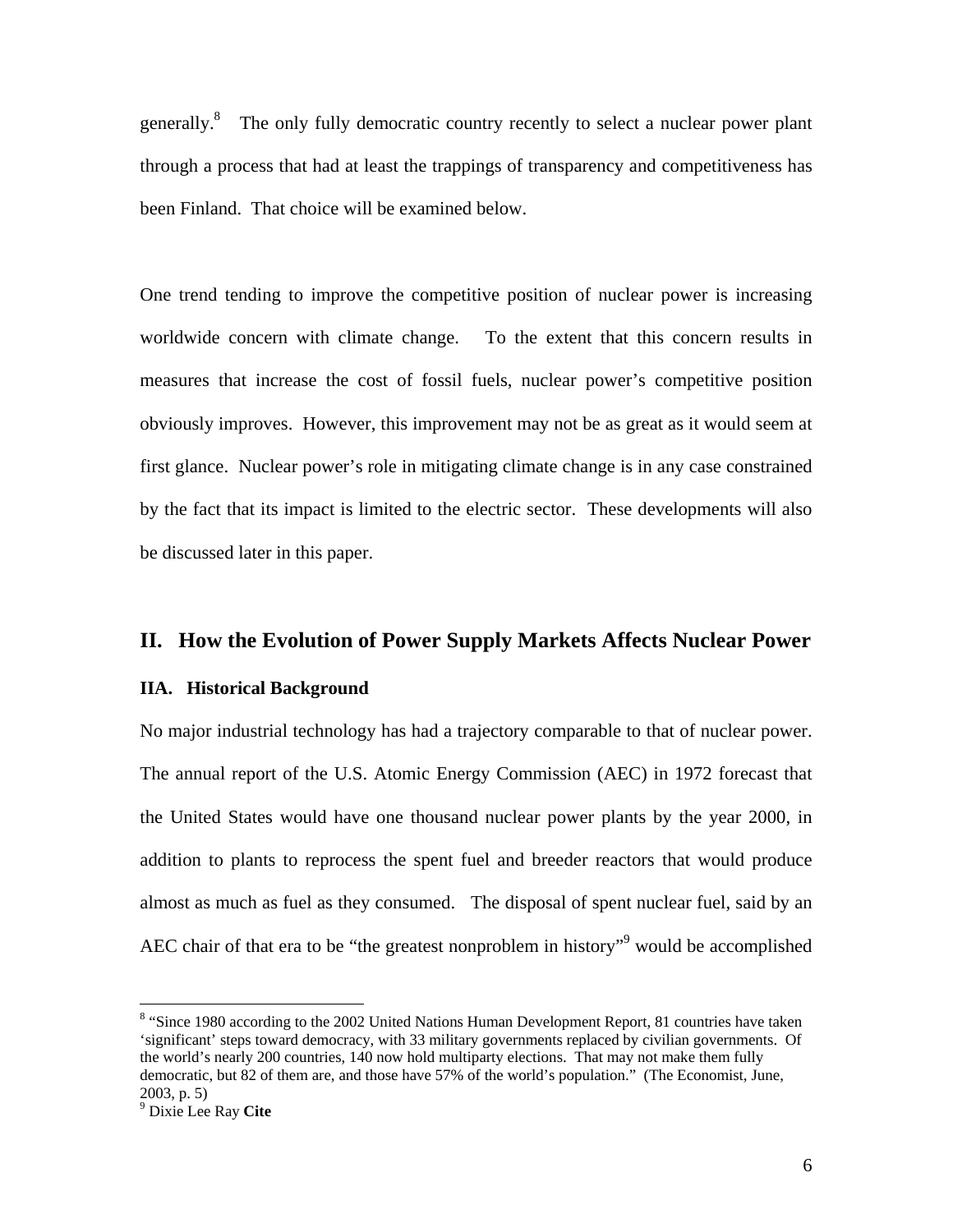generally.<sup>8</sup> The only fully democratic country recently to select a nuclear power plant through a process that had at least the trappings of transparency and competitiveness has been Finland. That choice will be examined below.

One trend tending to improve the competitive position of nuclear power is increasing worldwide concern with climate change. To the extent that this concern results in measures that increase the cost of fossil fuels, nuclear power's competitive position obviously improves. However, this improvement may not be as great as it would seem at first glance. Nuclear power's role in mitigating climate change is in any case constrained by the fact that its impact is limited to the electric sector. These developments will also be discussed later in this paper.

### **II. How the Evolution of Power Supply Markets Affects Nuclear Power**

#### **IIA. Historical Background**

No major industrial technology has had a trajectory comparable to that of nuclear power. The annual report of the U.S. Atomic Energy Commission (AEC) in 1972 forecast that the United States would have one thousand nuclear power plants by the year 2000, in addition to plants to reprocess the spent fuel and breeder reactors that would produce almost as much as fuel as they consumed. The disposal of spent nuclear fuel, said by an AEC chair of that era to be "the greatest nonproblem in history"<sup>9</sup> would be accomplished

<span id="page-5-0"></span><sup>&</sup>lt;sup>8</sup> "Since 1980 according to the 2002 United Nations Human Development Report, 81 countries have taken 'significant' steps toward democracy, with 33 military governments replaced by civilian governments. Of the world's nearly 200 countries, 140 now hold multiparty elections. That may not make them fully democratic, but 82 of them are, and those have 57% of the world's population." (The Economist, June,  $2003$ , p. 5)

<span id="page-5-1"></span>Dixie Lee Ray **Cite**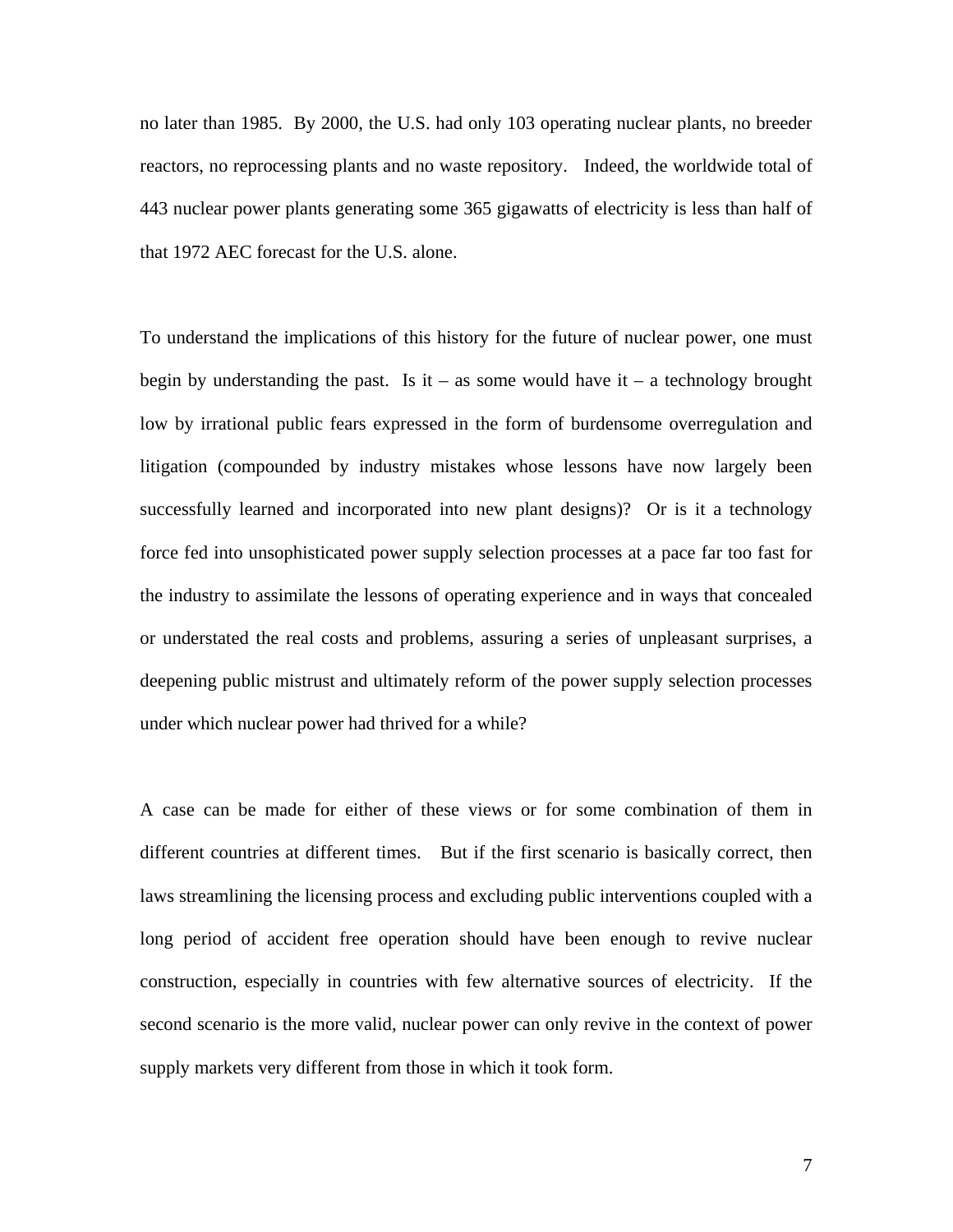no later than 1985. By 2000, the U.S. had only 103 operating nuclear plants, no breeder reactors, no reprocessing plants and no waste repository. Indeed, the worldwide total of 443 nuclear power plants generating some 365 gigawatts of electricity is less than half of that 1972 AEC forecast for the U.S. alone.

To understand the implications of this history for the future of nuclear power, one must begin by understanding the past. Is it – as some would have it – a technology brought low by irrational public fears expressed in the form of burdensome overregulation and litigation (compounded by industry mistakes whose lessons have now largely been successfully learned and incorporated into new plant designs)? Or is it a technology force fed into unsophisticated power supply selection processes at a pace far too fast for the industry to assimilate the lessons of operating experience and in ways that concealed or understated the real costs and problems, assuring a series of unpleasant surprises, a deepening public mistrust and ultimately reform of the power supply selection processes under which nuclear power had thrived for a while?

A case can be made for either of these views or for some combination of them in different countries at different times. But if the first scenario is basically correct, then laws streamlining the licensing process and excluding public interventions coupled with a long period of accident free operation should have been enough to revive nuclear construction, especially in countries with few alternative sources of electricity. If the second scenario is the more valid, nuclear power can only revive in the context of power supply markets very different from those in which it took form.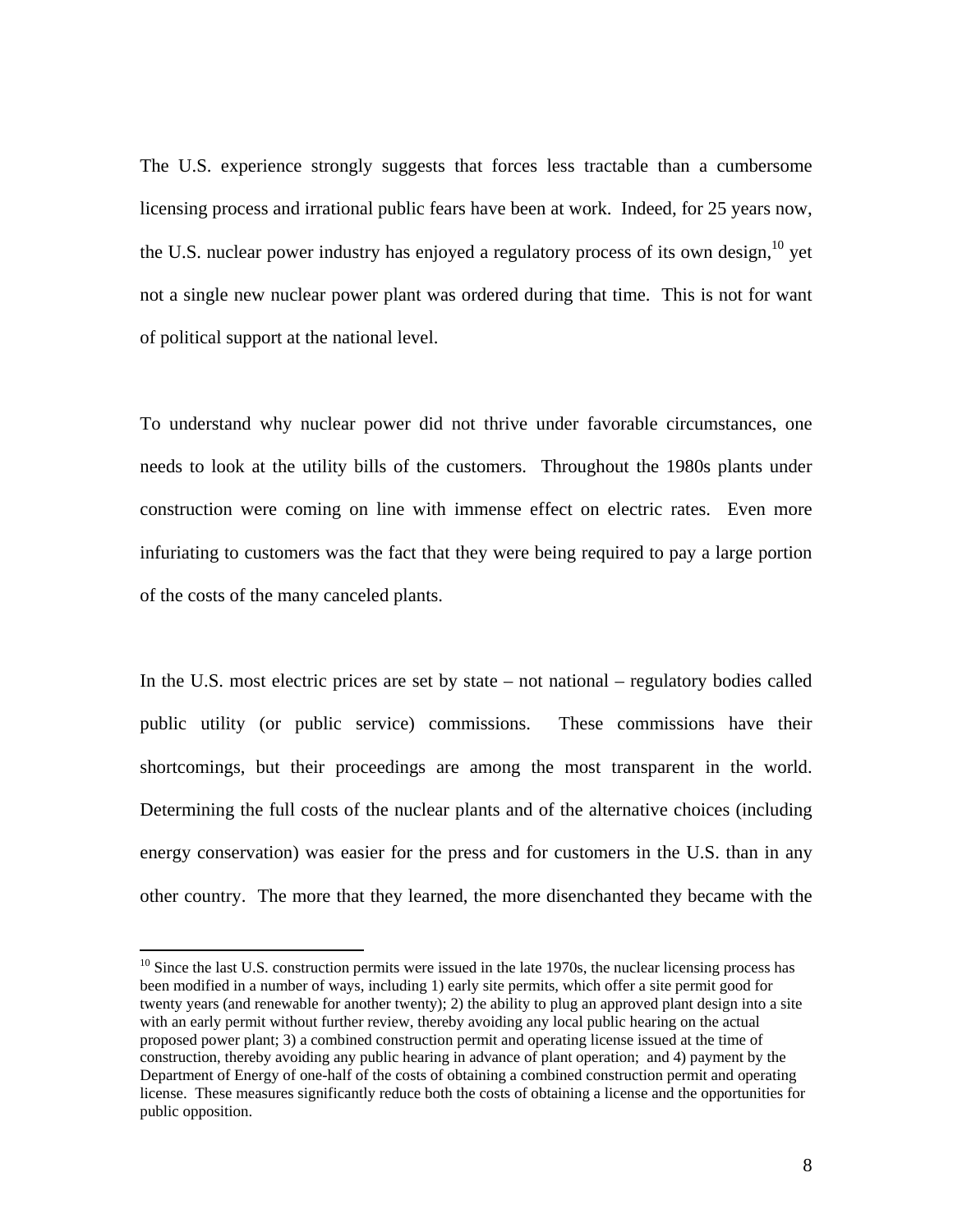The U.S. experience strongly suggests that forces less tractable than a cumbersome licensing process and irrational public fears have been at work. Indeed, for 25 years now, the U.S. nuclear power industry has enjoyed a regulatory process of its own design, <sup>10</sup> yet not a single new nuclear power plant was ordered during that time. This is not for want of political support at the national level.

To understand why nuclear power did not thrive under favorable circumstances, one needs to look at the utility bills of the customers. Throughout the 1980s plants under construction were coming on line with immense effect on electric rates. Even more infuriating to customers was the fact that they were being required to pay a large portion of the costs of the many canceled plants.

In the U.S. most electric prices are set by state – not national – regulatory bodies called public utility (or public service) commissions. These commissions have their shortcomings, but their proceedings are among the most transparent in the world. Determining the full costs of the nuclear plants and of the alternative choices (including energy conservation) was easier for the press and for customers in the U.S. than in any other country. The more that they learned, the more disenchanted they became with the

<span id="page-7-0"></span> $10$  Since the last U.S. construction permits were issued in the late 1970s, the nuclear licensing process has been modified in a number of ways, including 1) early site permits, which offer a site permit good for twenty years (and renewable for another twenty); 2) the ability to plug an approved plant design into a site with an early permit without further review, thereby avoiding any local public hearing on the actual proposed power plant; 3) a combined construction permit and operating license issued at the time of construction, thereby avoiding any public hearing in advance of plant operation; and 4) payment by the Department of Energy of one-half of the costs of obtaining a combined construction permit and operating license. These measures significantly reduce both the costs of obtaining a license and the opportunities for public opposition.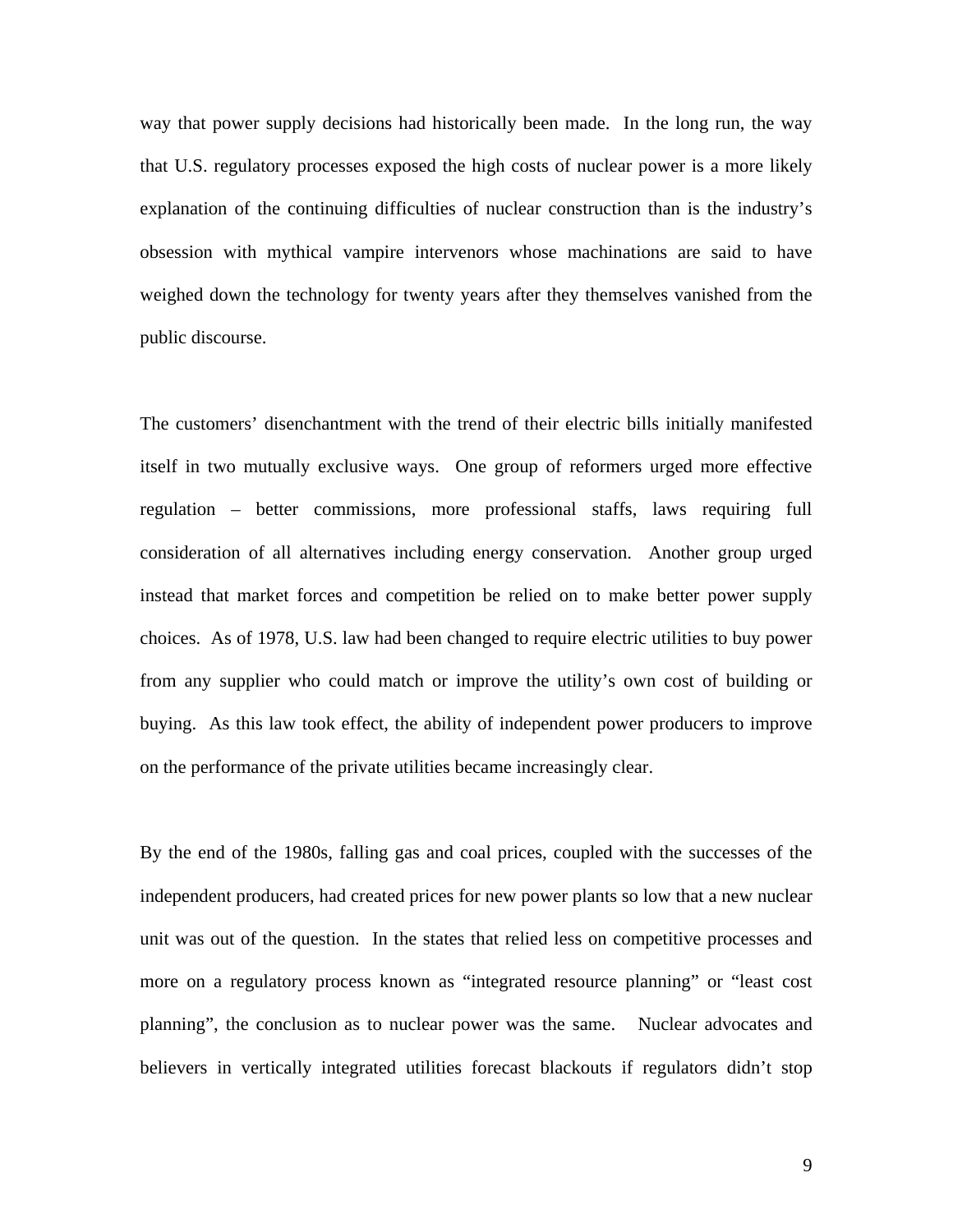way that power supply decisions had historically been made. In the long run, the way that U.S. regulatory processes exposed the high costs of nuclear power is a more likely explanation of the continuing difficulties of nuclear construction than is the industry's obsession with mythical vampire intervenors whose machinations are said to have weighed down the technology for twenty years after they themselves vanished from the public discourse.

The customers' disenchantment with the trend of their electric bills initially manifested itself in two mutually exclusive ways. One group of reformers urged more effective regulation – better commissions, more professional staffs, laws requiring full consideration of all alternatives including energy conservation. Another group urged instead that market forces and competition be relied on to make better power supply choices. As of 1978, U.S. law had been changed to require electric utilities to buy power from any supplier who could match or improve the utility's own cost of building or buying. As this law took effect, the ability of independent power producers to improve on the performance of the private utilities became increasingly clear.

By the end of the 1980s, falling gas and coal prices, coupled with the successes of the independent producers, had created prices for new power plants so low that a new nuclear unit was out of the question. In the states that relied less on competitive processes and more on a regulatory process known as "integrated resource planning" or "least cost planning", the conclusion as to nuclear power was the same. Nuclear advocates and believers in vertically integrated utilities forecast blackouts if regulators didn't stop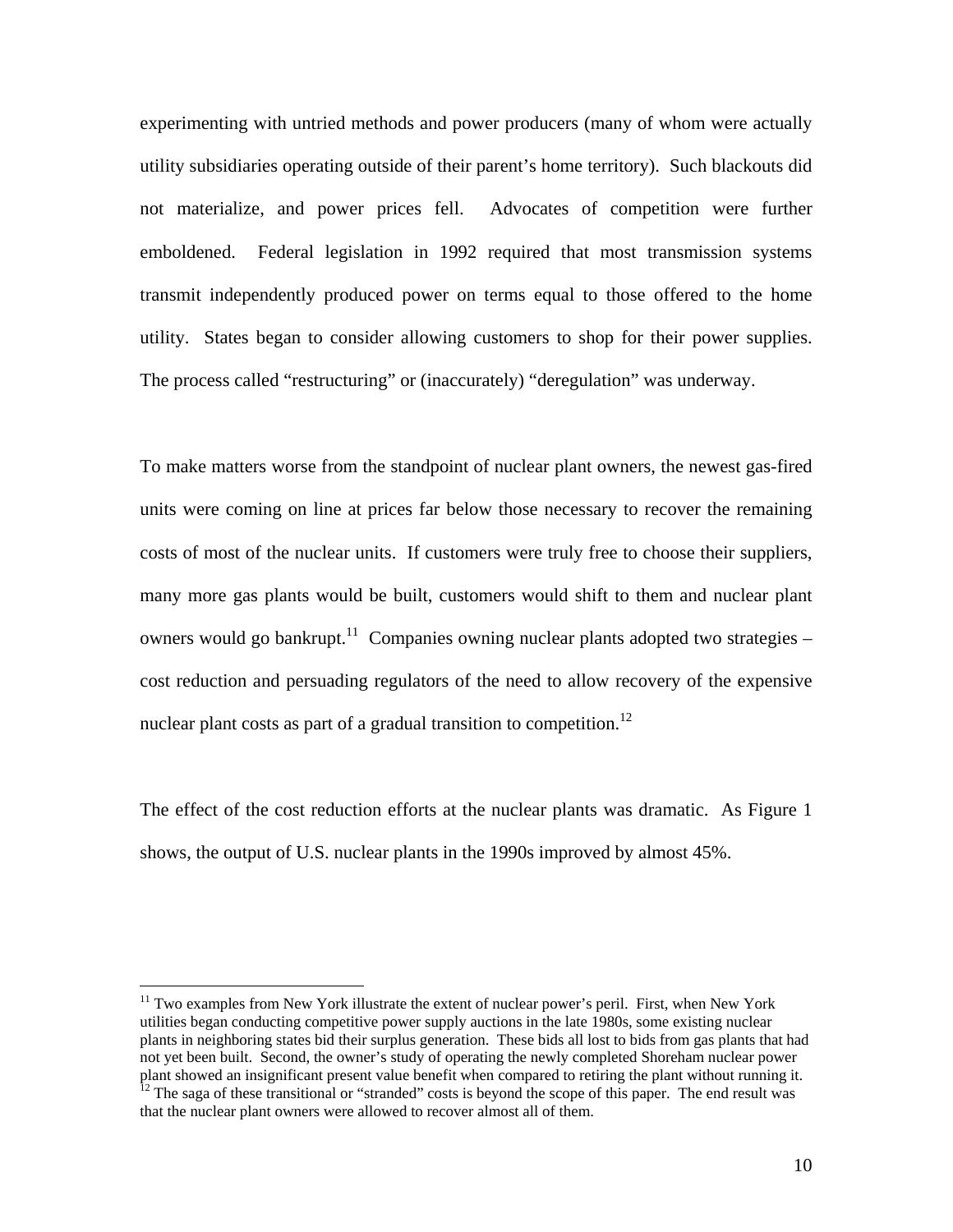experimenting with untried methods and power producers (many of whom were actually utility subsidiaries operating outside of their parent's home territory). Such blackouts did not materialize, and power prices fell. Advocates of competition were further emboldened. Federal legislation in 1992 required that most transmission systems transmit independently produced power on terms equal to those offered to the home utility. States began to consider allowing customers to shop for their power supplies. The process called "restructuring" or (inaccurately) "deregulation" was underway.

To make matters worse from the standpoint of nuclear plant owners, the newest gas-fired units were coming on line at prices far below those necessary to recover the remaining costs of most of the nuclear units. If customers were truly free to choose their suppliers, many more gas plants would be built, customers would shift to them and nuclear plant owners would go bankrupt.<sup>11</sup> Companies owning nuclear plants adopted two strategies – cost reduction and persuading regulators of the need to allow recovery of the expensive nuclear plant costs as part of a gradual transition to competition.<sup>12</sup>

The effect of the cost reduction efforts at the nuclear plants was dramatic. As Figure 1 shows, the output of U.S. nuclear plants in the 1990s improved by almost 45%.

<span id="page-9-0"></span><sup>&</sup>lt;sup>11</sup> Two examples from New York illustrate the extent of nuclear power's peril. First, when New York utilities began conducting competitive power supply auctions in the late 1980s, some existing nuclear plants in neighboring states bid their surplus generation. These bids all lost to bids from gas plants that had not yet been built. Second, the owner's study of operating the newly completed Shoreham nuclear power<br>plant showed an insignificant present value benefit when compared to retiring the plant without running it.

<span id="page-9-1"></span> $\frac{12}{12}$  The saga of these transitional or "stranded" costs is beyond the scope of this paper. The end result was that the nuclear plant owners were allowed to recover almost all of them.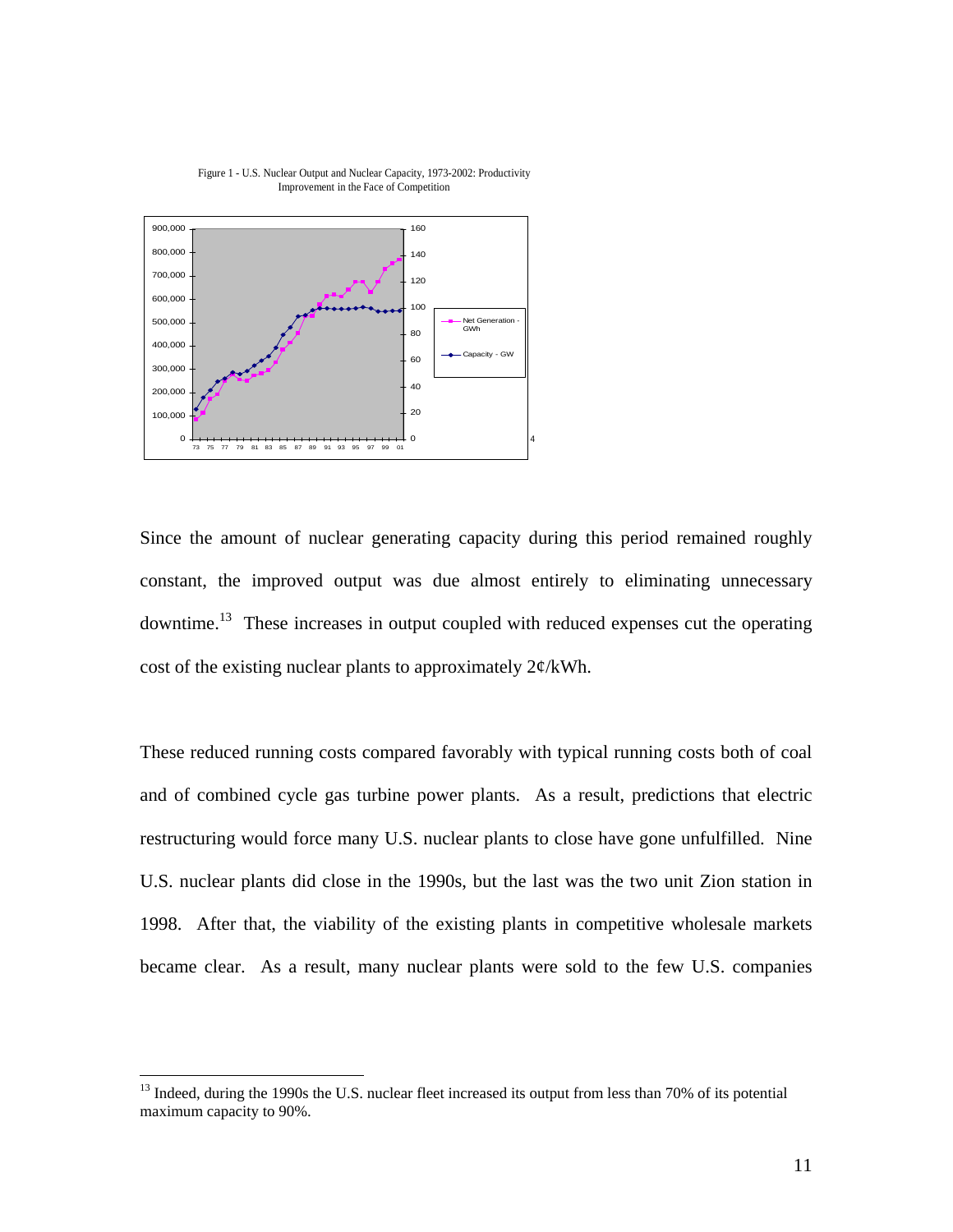

Figure 1 - U.S. Nuclear Output and Nuclear Capacity, 1973-2002: Productivity Improvement in the Face of Competition

Since the amount of nuclear generating capacity during this period remained roughly constant, the improved output was due almost entirely to eliminating unnecessary downtime.<sup>13</sup> These increases in output coupled with reduced expenses cut the operating cost of the existing nuclear plants to approximately  $2\phi$ /kWh.

These reduced running costs compared favorably with typical running costs both of coal and of combined cycle gas turbine power plants. As a result, predictions that electric restructuring would force many U.S. nuclear plants to close have gone unfulfilled. Nine U.S. nuclear plants did close in the 1990s, but the last was the two unit Zion station in 1998. After that, the viability of the existing plants in competitive wholesale markets became clear. As a result, many nuclear plants were sold to the few U.S. companies

<span id="page-10-0"></span><sup>&</sup>lt;sup>13</sup> Indeed, during the 1990s the U.S. nuclear fleet increased its output from less than 70% of its potential maximum capacity to 90%.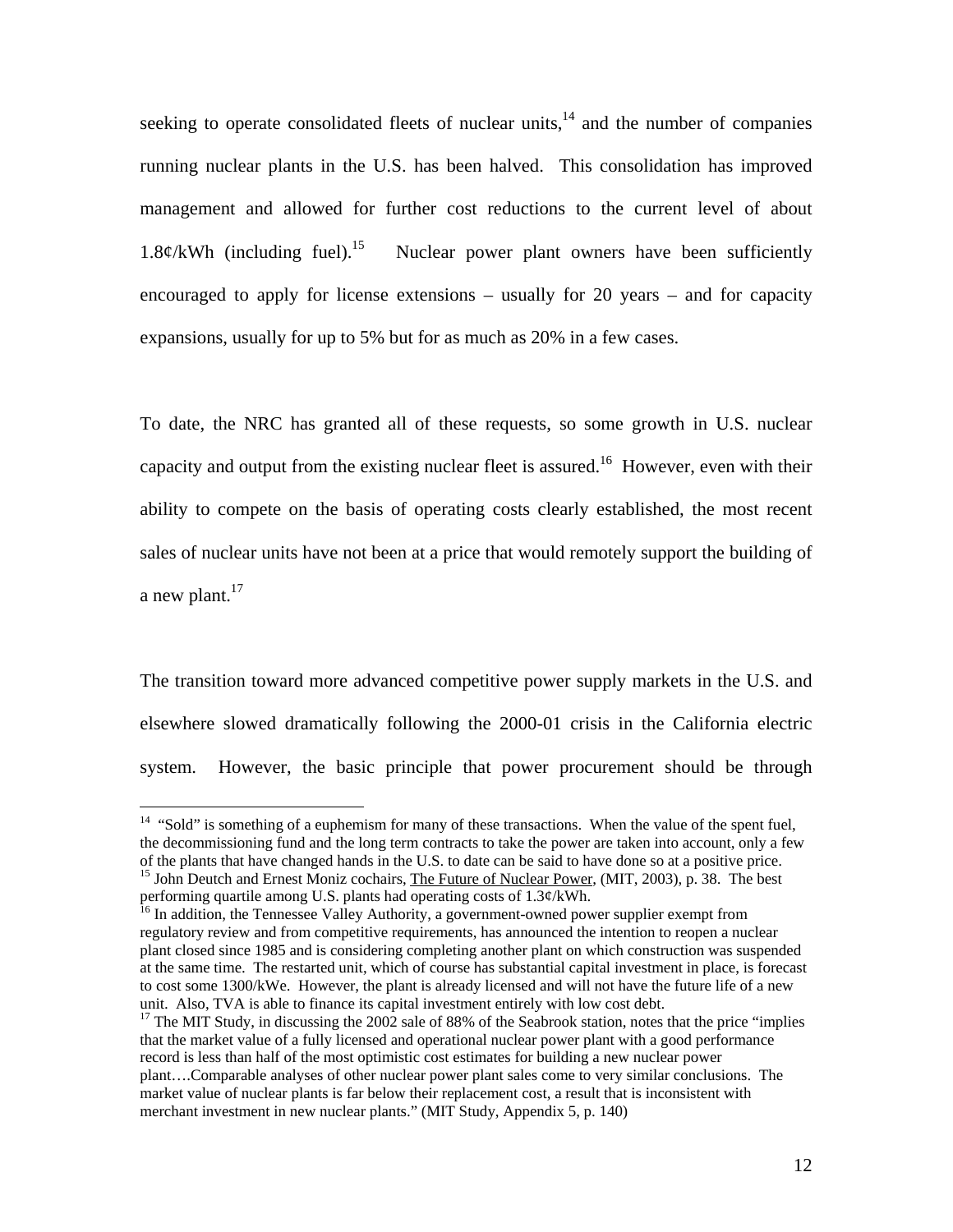seeking to operate consolidated fleets of nuclear units, $14$  and the number of companies running nuclear plants in the U.S. has been halved. This consolidation has improved management and allowed for further cost reductions to the current level of about 1.8 $\varphi$ /kWh (including fuel).<sup>15</sup> Nuclear power plant owners have been sufficiently encouraged to apply for license extensions – usually for 20 years – and for capacity expansions, usually for up to 5% but for as much as 20% in a few cases.

To date, the NRC has granted all of these requests, so some growth in U.S. nuclear capacity and output from the existing nuclear fleet is assured.<sup>16</sup> However, even with their ability to compete on the basis of operating costs clearly established, the most recent sales of nuclear units have not been at a price that would remotely support the building of a new plant. $17$ 

The transition toward more advanced competitive power supply markets in the U.S. and elsewhere slowed dramatically following the 2000-01 crisis in the California electric system. However, the basic principle that power procurement should be through

<span id="page-11-0"></span> $14$  "Sold" is something of a euphemism for many of these transactions. When the value of the spent fuel, the decommissioning fund and the long term contracts to take the power are taken into account, only a few of the plants that have changed hands in the U.S. to date can be said to have done so at a positive price. <sup>15</sup> John Deutch and Ernest Moniz cochairs, <u>The Future of Nuclear Power</u>, (MIT, 2003), p. 38. The best

<span id="page-11-2"></span>

<span id="page-11-1"></span>performing quartile among U.S. plants had operating costs of 1.3¢/kWh.<br><sup>16</sup> In addition, the Tennessee Valley Authority, a government-owned power supplier exempt from regulatory review and from competitive requirements, has announced the intention to reopen a nuclear plant closed since 1985 and is considering completing another plant on which construction was suspended at the same time. The restarted unit, which of course has substantial capital investment in place, is forecast to cost some 1300/kWe. However, the plant is already licensed and will not have the future life of a new unit. Also, TVA is able to finance its capital investment entirely with low cost debt.  $17$  The MIT Study, in discussing the 2002 sale of 88% of the Seabrook station, notes that the price "implies"

<span id="page-11-3"></span>that the market value of a fully licensed and operational nuclear power plant with a good performance record is less than half of the most optimistic cost estimates for building a new nuclear power plant….Comparable analyses of other nuclear power plant sales come to very similar conclusions. The market value of nuclear plants is far below their replacement cost, a result that is inconsistent with merchant investment in new nuclear plants." (MIT Study, Appendix 5, p. 140)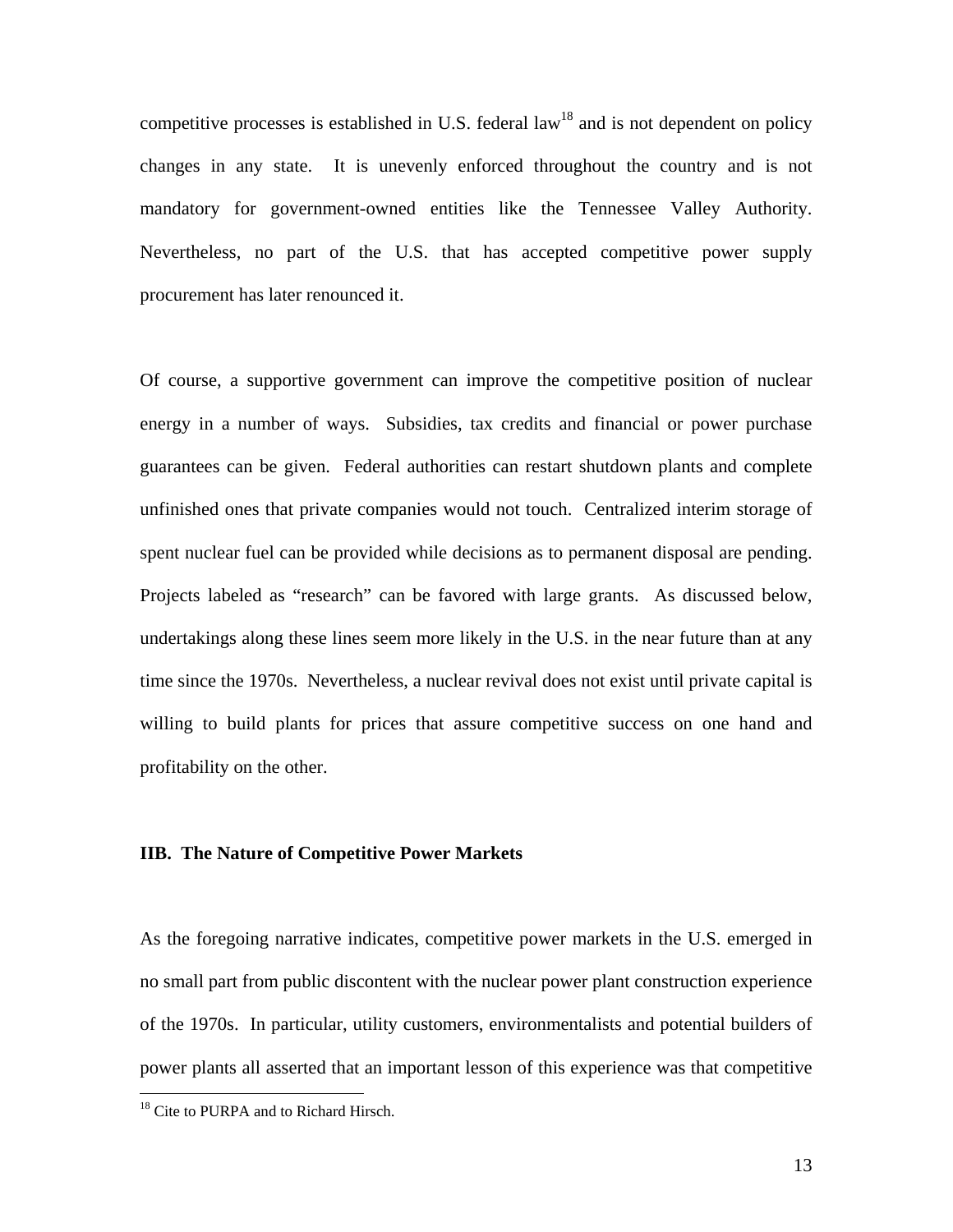competitive processes is established in U.S. federal law<sup>18</sup> and is not dependent on policy changes in any state. It is unevenly enforced throughout the country and is not mandatory for government-owned entities like the Tennessee Valley Authority. Nevertheless, no part of the U.S. that has accepted competitive power supply procurement has later renounced it.

Of course, a supportive government can improve the competitive position of nuclear energy in a number of ways. Subsidies, tax credits and financial or power purchase guarantees can be given. Federal authorities can restart shutdown plants and complete unfinished ones that private companies would not touch. Centralized interim storage of spent nuclear fuel can be provided while decisions as to permanent disposal are pending. Projects labeled as "research" can be favored with large grants. As discussed below, undertakings along these lines seem more likely in the U.S. in the near future than at any time since the 1970s. Nevertheless, a nuclear revival does not exist until private capital is willing to build plants for prices that assure competitive success on one hand and profitability on the other.

### **IIB. The Nature of Competitive Power Markets**

As the foregoing narrative indicates, competitive power markets in the U.S. emerged in no small part from public discontent with the nuclear power plant construction experience of the 1970s. In particular, utility customers, environmentalists and potential builders of power plants all asserted that an important lesson of this experience was that competitive

<u>.</u>

<span id="page-12-0"></span><sup>&</sup>lt;sup>18</sup> Cite to PURPA and to Richard Hirsch.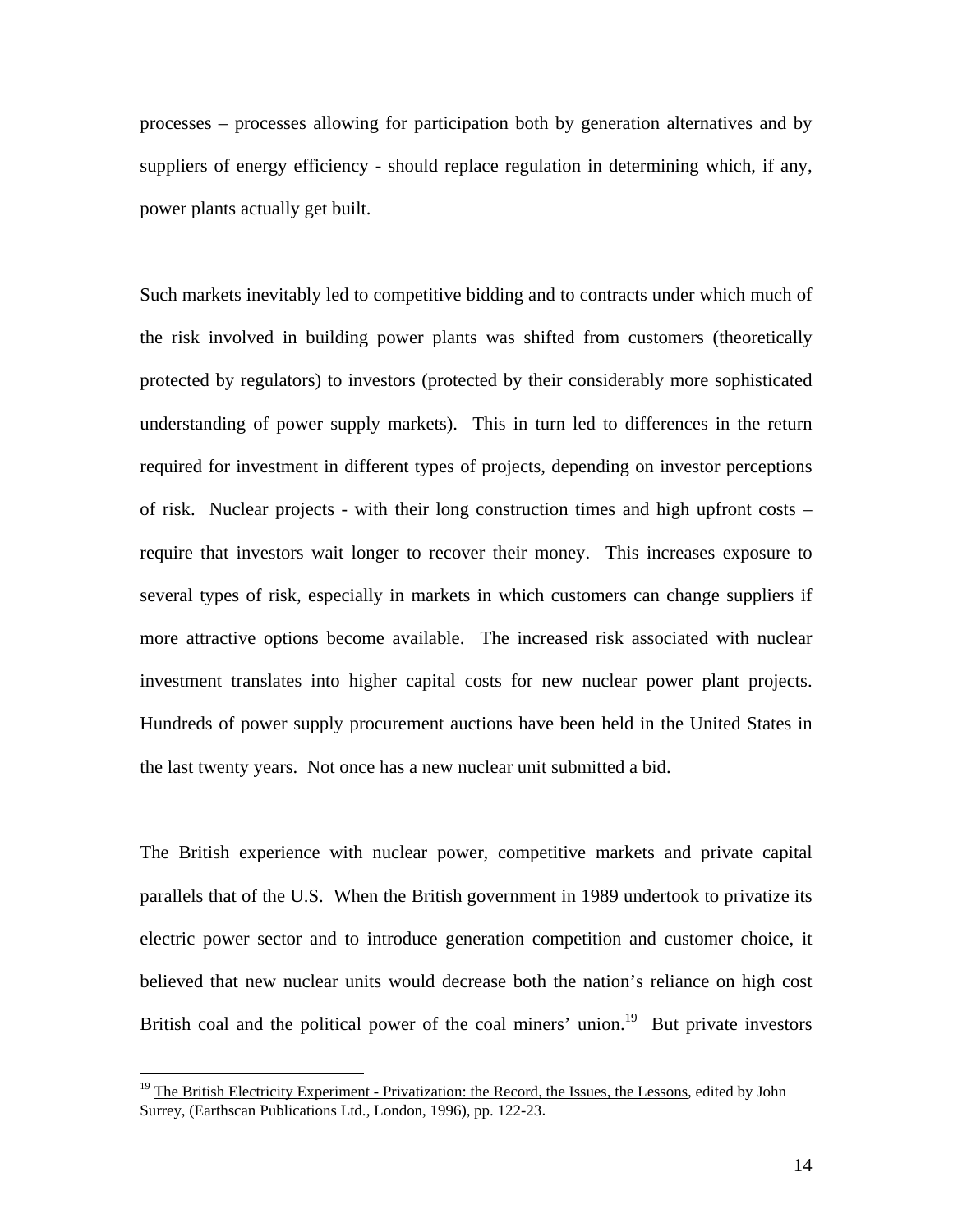processes – processes allowing for participation both by generation alternatives and by suppliers of energy efficiency - should replace regulation in determining which, if any, power plants actually get built.

Such markets inevitably led to competitive bidding and to contracts under which much of the risk involved in building power plants was shifted from customers (theoretically protected by regulators) to investors (protected by their considerably more sophisticated understanding of power supply markets). This in turn led to differences in the return required for investment in different types of projects, depending on investor perceptions of risk. Nuclear projects - with their long construction times and high upfront costs – require that investors wait longer to recover their money. This increases exposure to several types of risk, especially in markets in which customers can change suppliers if more attractive options become available. The increased risk associated with nuclear investment translates into higher capital costs for new nuclear power plant projects. Hundreds of power supply procurement auctions have been held in the United States in the last twenty years. Not once has a new nuclear unit submitted a bid.

The British experience with nuclear power, competitive markets and private capital parallels that of the U.S. When the British government in 1989 undertook to privatize its electric power sector and to introduce generation competition and customer choice, it believed that new nuclear units would decrease both the nation's reliance on high cost British coal and the political power of the coal miners' union.<sup>19</sup> But private investors

<span id="page-13-0"></span> $19$  The British Electricity Experiment - Privatization: the Record, the Issues, the Lessons, edited by John Surrey, (Earthscan Publications Ltd., London, 1996), pp. 122-23.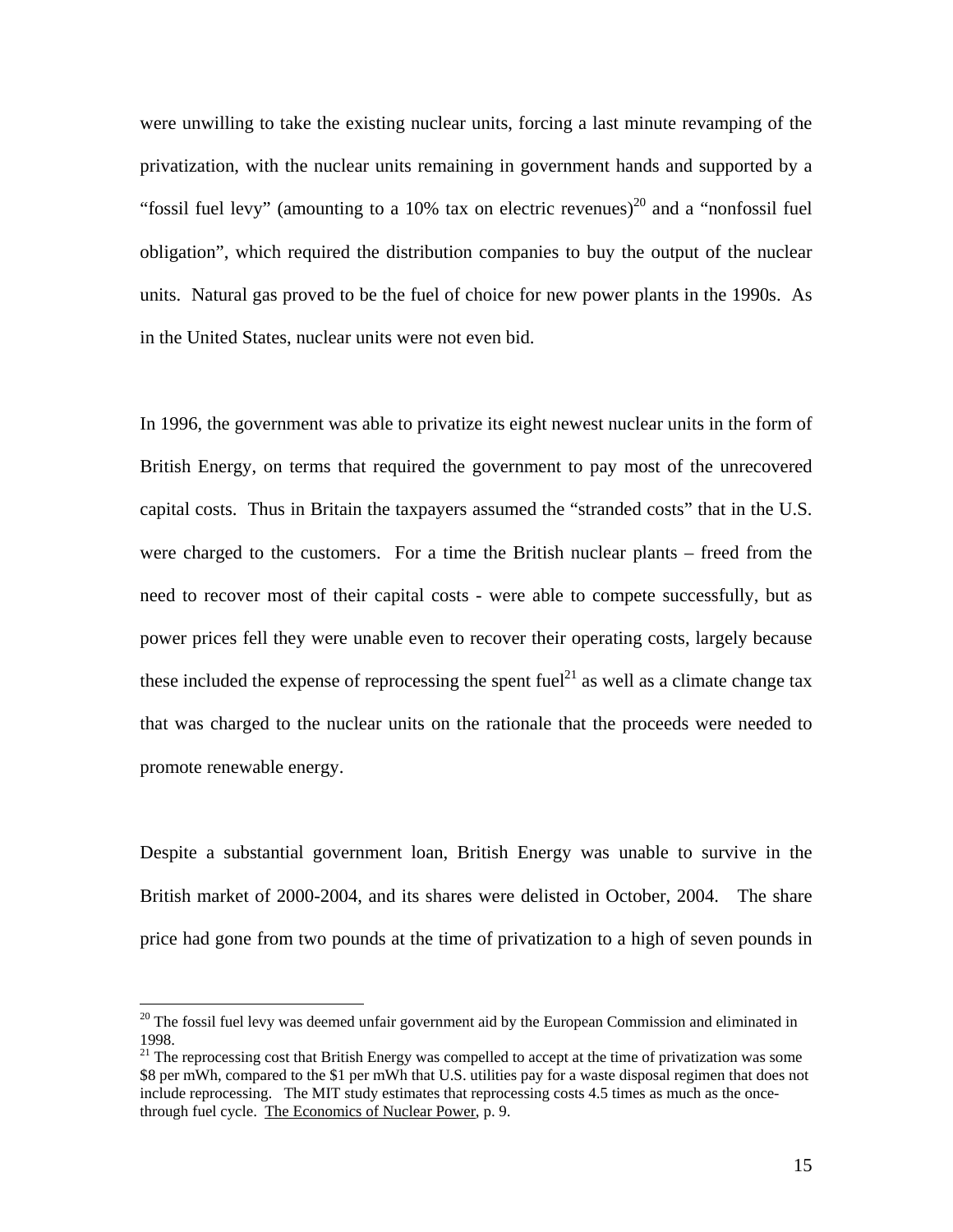were unwilling to take the existing nuclear units, forcing a last minute revamping of the privatization, with the nuclear units remaining in government hands and supported by a "fossil fuel levy" (amounting to a 10% tax on electric revenues)<sup>20</sup> and a "nonfossil fuel obligation", which required the distribution companies to buy the output of the nuclear units. Natural gas proved to be the fuel of choice for new power plants in the 1990s. As in the United States, nuclear units were not even bid.

In 1996, the government was able to privatize its eight newest nuclear units in the form of British Energy, on terms that required the government to pay most of the unrecovered capital costs. Thus in Britain the taxpayers assumed the "stranded costs" that in the U.S. were charged to the customers. For a time the British nuclear plants – freed from the need to recover most of their capital costs - were able to compete successfully, but as power prices fell they were unable even to recover their operating costs, largely because these included the expense of reprocessing the spent fuel<sup>[21](#page-14-1)</sup> as well as a climate change tax that was charged to the nuclear units on the rationale that the proceeds were needed to promote renewable energy.

Despite a substantial government loan, British Energy was unable to survive in the British market of 2000-2004, and its shares were delisted in October, 2004. The share price had gone from two pounds at the time of privatization to a high of seven pounds in

<span id="page-14-0"></span> $20$  The fossil fuel levy was deemed unfair government aid by the European Commission and eliminated in 1998.<br><sup>21</sup> The reprocessing cost that British Energy was compelled to accept at the time of privatization was some

<span id="page-14-1"></span><sup>\$8</sup> per mWh, compared to the \$1 per mWh that U.S. utilities pay for a waste disposal regimen that does not include reprocessing. The MIT study estimates that reprocessing costs 4.5 times as much as the oncethrough fuel cycle. The Economics of Nuclear Power, p. 9.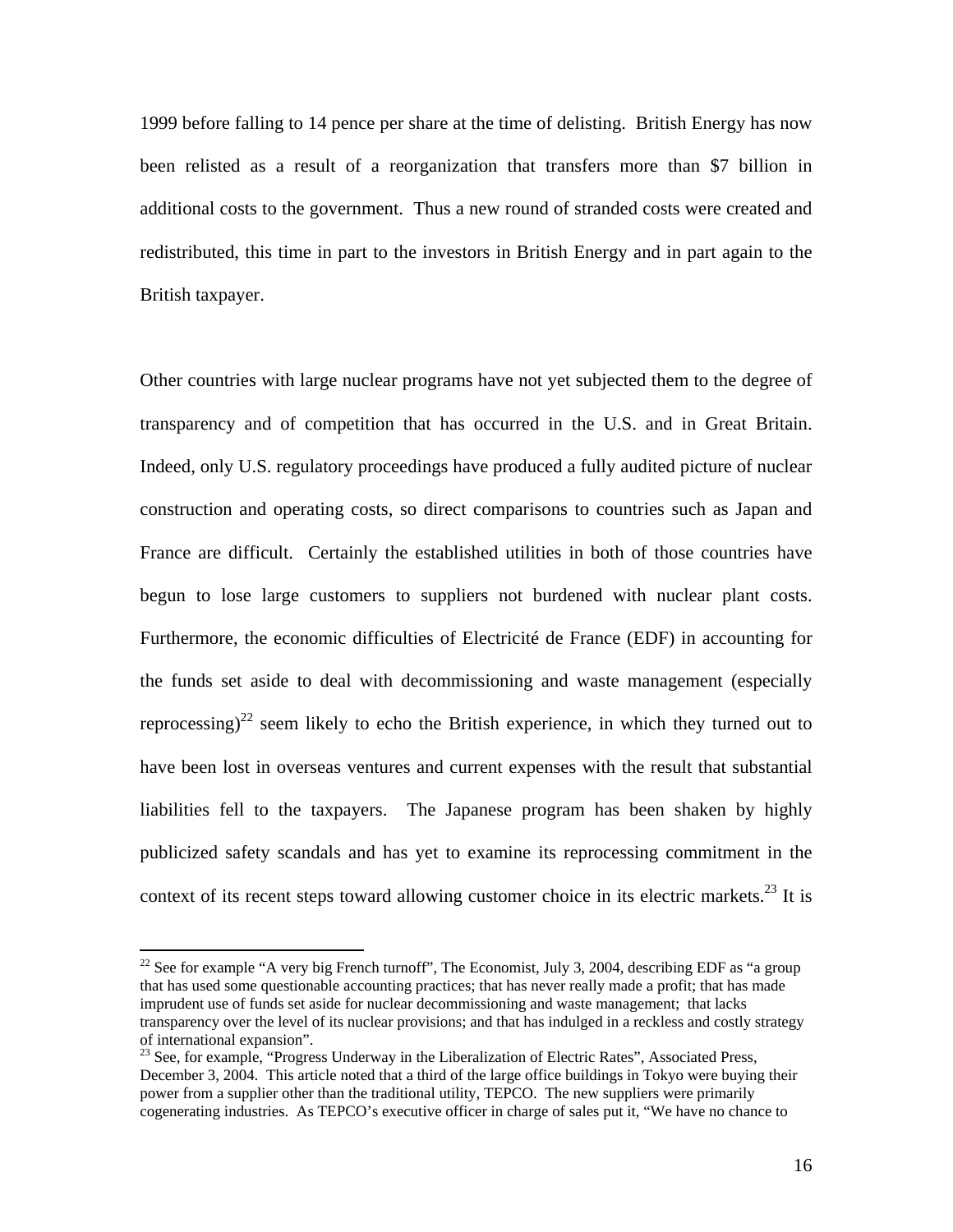1999 before falling to 14 pence per share at the time of delisting. British Energy has now been relisted as a result of a reorganization that transfers more than \$7 billion in additional costs to the government. Thus a new round of stranded costs were created and redistributed, this time in part to the investors in British Energy and in part again to the British taxpayer.

Other countries with large nuclear programs have not yet subjected them to the degree of transparency and of competition that has occurred in the U.S. and in Great Britain. Indeed, only U.S. regulatory proceedings have produced a fully audited picture of nuclear construction and operating costs, so direct comparisons to countries such as Japan and France are difficult. Certainly the established utilities in both of those countries have begun to lose large customers to suppliers not burdened with nuclear plant costs. Furthermore, the economic difficulties of Electricité de France (EDF) in accounting for the funds set aside to deal with decommissioning and waste management (especially reprocessing)<sup>[22](#page-15-0)</sup> seem likely to echo the British experience, in which they turned out to have been lost in overseas ventures and current expenses with the result that substantial liabilities fell to the taxpayers. The Japanese program has been shaken by highly publicized safety scandals and has yet to examine its reprocessing commitment in the context of its recent steps toward allowing customer choice in its electric markets.<sup>23</sup> It is

<span id="page-15-0"></span><sup>&</sup>lt;sup>22</sup> See for example "A very big French turnoff", The Economist, July 3, 2004, describing EDF as "a group that has used some questionable accounting practices; that has never really made a profit; that has made imprudent use of funds set aside for nuclear decommissioning and waste management; that lacks transparency over the level of its nuclear provisions; and that has indulged in a reckless and costly strategy

<span id="page-15-1"></span><sup>&</sup>lt;sup>23</sup> See, for example, "Progress Underway in the Liberalization of Electric Rates", Associated Press, December 3, 2004. This article noted that a third of the large office buildings in Tokyo were buying their power from a supplier other than the traditional utility, TEPCO. The new suppliers were primarily cogenerating industries. As TEPCO's executive officer in charge of sales put it, "We have no chance to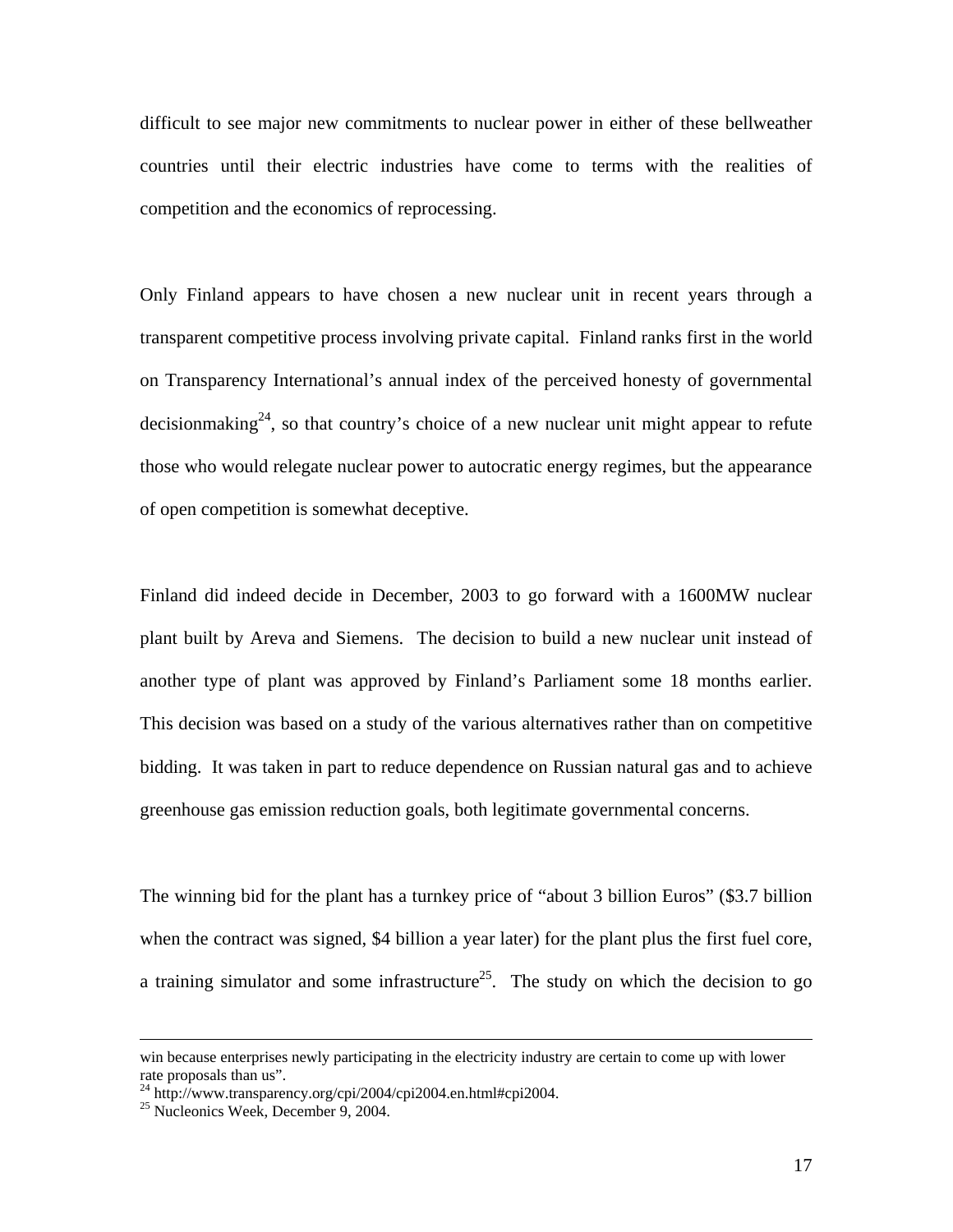difficult to see major new commitments to nuclear power in either of these bellweather countries until their electric industries have come to terms with the realities of competition and the economics of reprocessing.

Only Finland appears to have chosen a new nuclear unit in recent years through a transparent competitive process involving private capital. Finland ranks first in the world on Transparency International's annual index of the perceived honesty of governmental decisionmaking<sup>24</sup>, so that country's choice of a new nuclear unit might appear to refute those who would relegate nuclear power to autocratic energy regimes, but the appearance of open competition is somewhat deceptive.

Finland did indeed decide in December, 2003 to go forward with a 1600MW nuclear plant built by Areva and Siemens. The decision to build a new nuclear unit instead of another type of plant was approved by Finland's Parliament some 18 months earlier. This decision was based on a study of the various alternatives rather than on competitive bidding. It was taken in part to reduce dependence on Russian natural gas and to achieve greenhouse gas emission reduction goals, both legitimate governmental concerns.

The winning bid for the plant has a turnkey price of "about 3 billion Euros" (\$3.7 billion when the contract was signed, \$4 billion a year later) for the plant plus the first fuel core, a training simulator and some infrastructure<sup>25</sup>. The study on which the decision to go

win because enterprises newly participating in the electricity industry are certain to come up with lower rate proposals than us".<br><sup>24</sup> http://www.transparency.org/cpi/2004/cpi2004.en.html#cpi2004.<br><sup>25</sup> Nucleonics Week, December 9, 2004.

<span id="page-16-0"></span>

<span id="page-16-1"></span>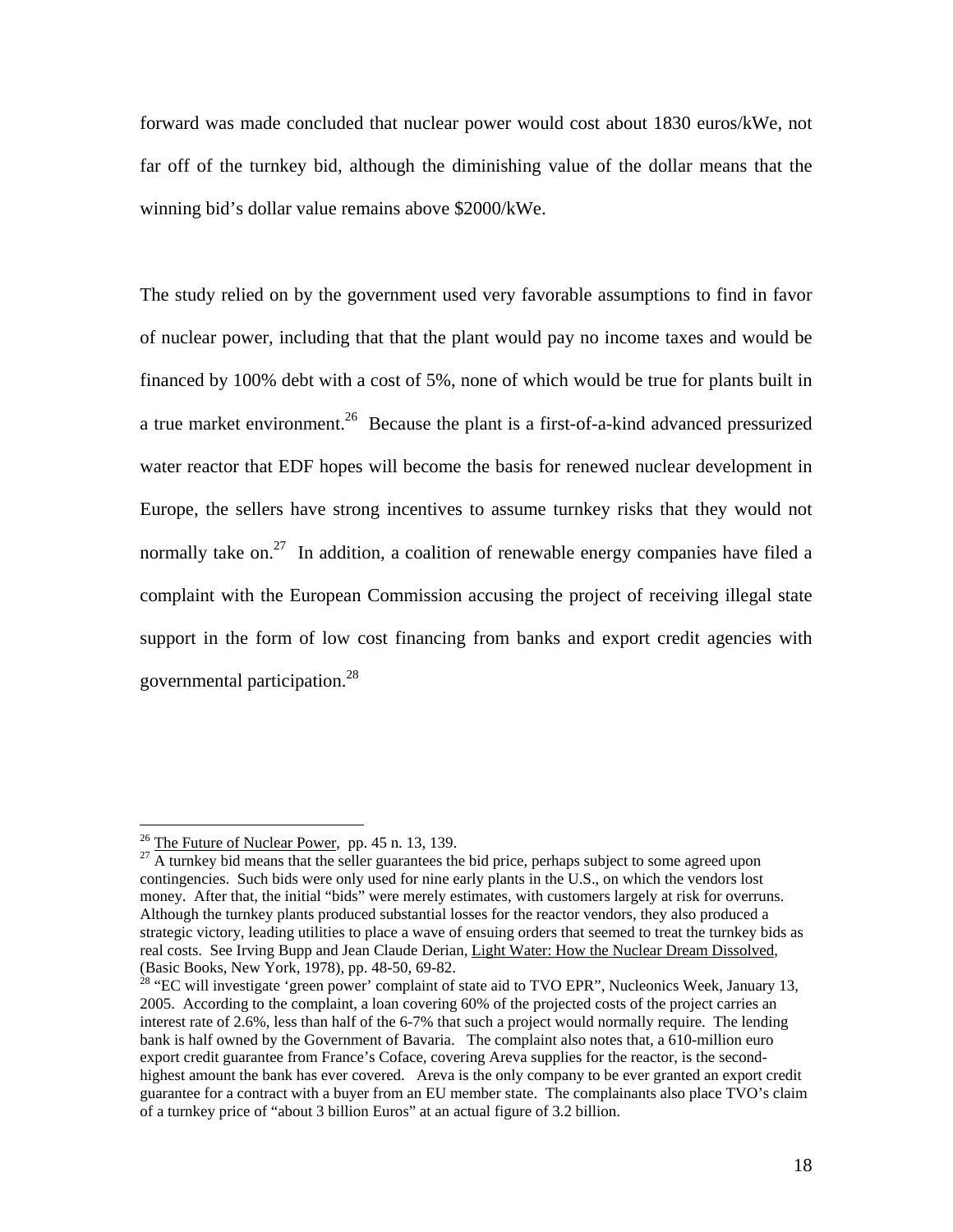forward was made concluded that nuclear power would cost about 1830 euros/kWe, not far off of the turnkey bid, although the diminishing value of the dollar means that the winning bid's dollar value remains above \$2000/kWe.

The study relied on by the government used very favorable assumptions to find in favor of nuclear power, including that that the plant would pay no income taxes and would be financed by 100% debt with a cost of 5%, none of which would be true for plants built in a true market environment[.26](#page-17-0) Because the plant is a first-of-a-kind advanced pressurized water reactor that EDF hopes will become the basis for renewed nuclear development in Europe, the sellers have strong incentives to assume turnkey risks that they would not normally take on.<sup>27</sup> In addition, a coalition of renewable energy companies have filed a complaint with the European Commission accusing the project of receiving illegal state support in the form of low cost financing from banks and export credit agencies with governmental participation.[28](#page-17-2) 

<span id="page-17-1"></span><span id="page-17-0"></span>

<sup>&</sup>lt;sup>26</sup> The Future of Nuclear Power, pp. 45 n. 13, 139.<br><sup>27</sup> A turnkey bid means that the seller guarantees the bid price, perhaps subject to some agreed upon contingencies. Such bids were only used for nine early plants in the U.S., on which the vendors lost money. After that, the initial "bids" were merely estimates, with customers largely at risk for overruns. Although the turnkey plants produced substantial losses for the reactor vendors, they also produced a strategic victory, leading utilities to place a wave of ensuing orders that seemed to treat the turnkey bids as real costs. See Irving Bupp and Jean Claude Derian, *Light Water: How the Nuclear Dream Dissolved*, (Basic Books, New York, 1978), pp. 48-50, 69-82.

<span id="page-17-2"></span> $\frac{28}{28}$  "EC will investigate 'green power' complaint of state aid to TVO EPR", Nucleonics Week, January 13, 2005. According to the complaint, a loan covering 60% of the projected costs of the project carries an interest rate of 2.6%, less than half of the 6-7% that such a project would normally require. The lending bank is half owned by the Government of Bavaria. The complaint also notes that, a 610-million euro export credit guarantee from France's Coface, covering Areva supplies for the reactor, is the secondhighest amount the bank has ever covered. Areva is the only company to be ever granted an export credit guarantee for a contract with a buyer from an EU member state. The complainants also place TVO's claim of a turnkey price of "about 3 billion Euros" at an actual figure of 3.2 billion.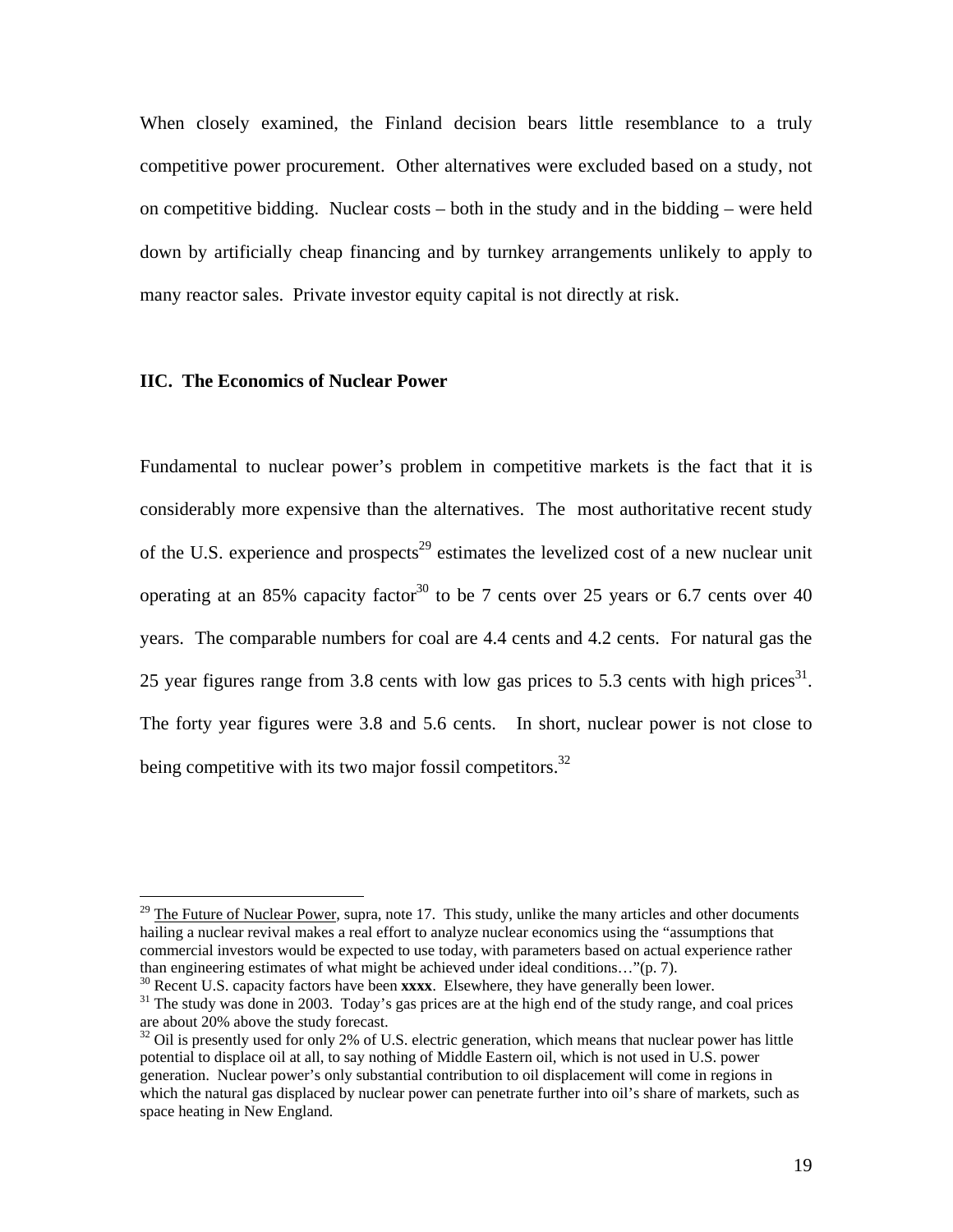When closely examined, the Finland decision bears little resemblance to a truly competitive power procurement. Other alternatives were excluded based on a study, not on competitive bidding. Nuclear costs – both in the study and in the bidding – were held down by artificially cheap financing and by turnkey arrangements unlikely to apply to many reactor sales. Private investor equity capital is not directly at risk.

### **IIC. The Economics of Nuclear Power**

 $\overline{a}$ 

Fundamental to nuclear power's problem in competitive markets is the fact that it is considerably more expensive than the alternatives. The most authoritative recent study of the U.S. experience and prospects<sup>29</sup> estimates the levelized cost of a new nuclear unit operating at an 85% capacity factor<sup>30</sup> to be 7 cents over 25 years or 6.7 cents over 40 years. The comparable numbers for coal are 4.4 cents and 4.2 cents. For natural gas the 25 year figures range from 3.8 cents with low gas prices to 5.3 cents with high prices<sup>31</sup>. The forty year figures were 3.8 and 5.6 cents. In short, nuclear power is not close to being competitive with its two major fossil competitors. $32$ 

<span id="page-18-0"></span> $29$  The Future of Nuclear Power, supra, note 17. This study, unlike the many articles and other documents hailing a nuclear revival makes a real effort to analyze nuclear economics using the "assumptions that commercial investors would be expected to use today, with parameters based on actual experience rather than engineering estimates of what might be achieved under ideal conditions..."(p. 7).

<span id="page-18-2"></span><span id="page-18-1"></span>

 $30$  Recent U.S. capacity factors have been **xxxx**. Elsewhere, they have generally been lower.<br><sup>31</sup> The study was done in 2003. Today's gas prices are at the high end of the study range, and coal prices are about 20% above the study forecast.<br><sup>32</sup> Oil is presently used for only 2% of U.S. electric generation, which means that nuclear power has little

<span id="page-18-3"></span>potential to displace oil at all, to say nothing of Middle Eastern oil, which is not used in U.S. power generation. Nuclear power's only substantial contribution to oil displacement will come in regions in which the natural gas displaced by nuclear power can penetrate further into oil's share of markets, such as space heating in New England.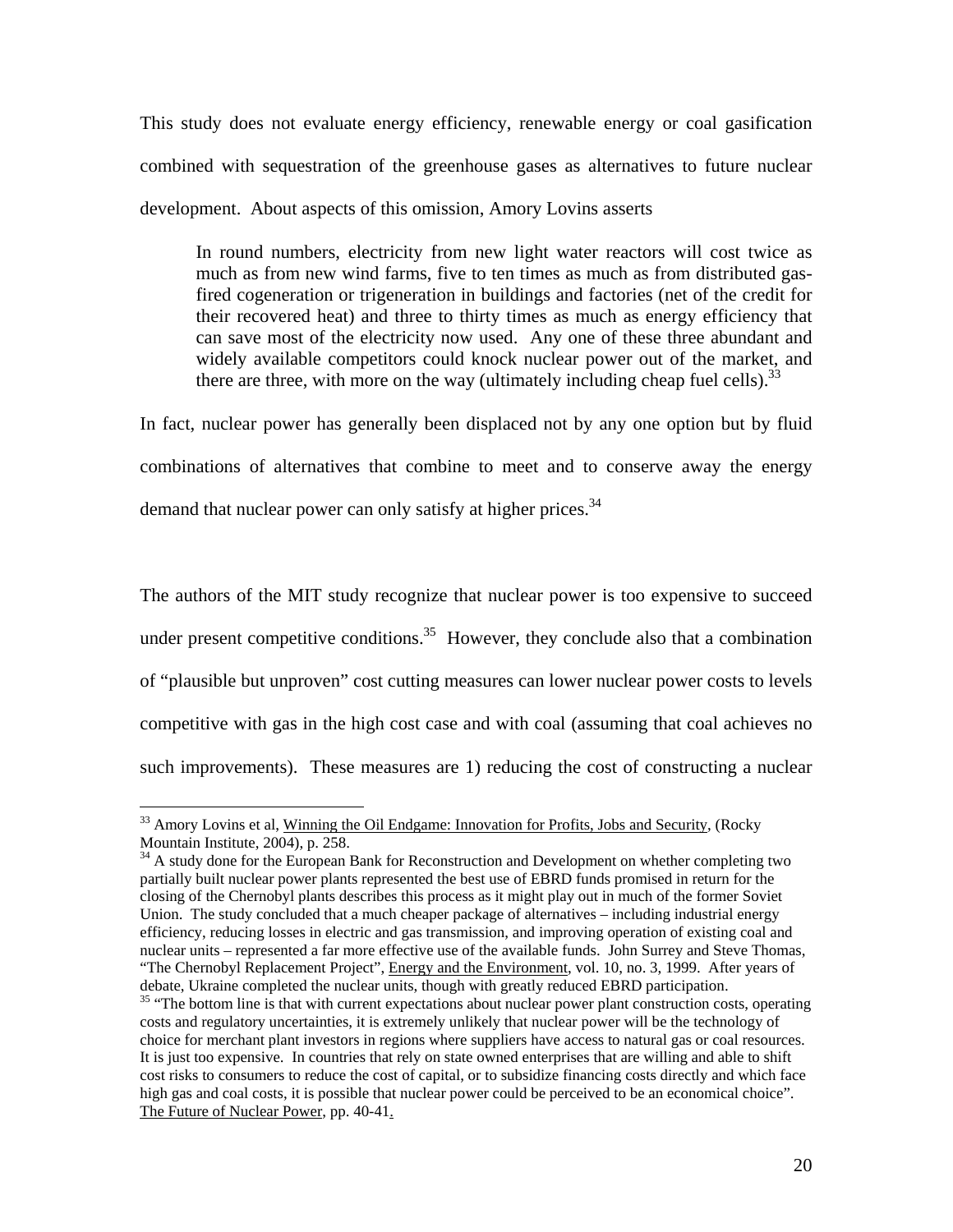This study does not evaluate energy efficiency, renewable energy or coal gasification combined with sequestration of the greenhouse gases as alternatives to future nuclear development. About aspects of this omission, Amory Lovins asserts

In round numbers, electricity from new light water reactors will cost twice as much as from new wind farms, five to ten times as much as from distributed gasfired cogeneration or trigeneration in buildings and factories (net of the credit for their recovered heat) and three to thirty times as much as energy efficiency that can save most of the electricity now used. Any one of these three abundant and widely available competitors could knock nuclear power out of the market, and there are three, with more on the way (ultimately including cheap fuel cells).<sup>[33](#page-19-0)</sup>

In fact, nuclear power has generally been displaced not by any one option but by fluid combinations of alternatives that combine to meet and to conserve away the energy demand that nuclear power can only satisfy at higher prices.<sup>[34](#page-19-1)</sup>

The authors of the MIT study recognize that nuclear power is too expensive to succeed under present competitive conditions.<sup>35</sup> However, they conclude also that a combination of "plausible but unproven" cost cutting measures can lower nuclear power costs to levels competitive with gas in the high cost case and with coal (assuming that coal achieves no such improvements). These measures are 1) reducing the cost of constructing a nuclear

<span id="page-19-0"></span><sup>&</sup>lt;sup>33</sup> Amory Lovins et al, Winning the Oil Endgame: Innovation for Profits, Jobs and Security, (Rocky Mountain Institute, 2004), p. 258.<br><sup>34</sup> A study done for the European Bank for Reconstruction and Development on whether completing two

<span id="page-19-1"></span>partially built nuclear power plants represented the best use of EBRD funds promised in return for the closing of the Chernobyl plants describes this process as it might play out in much of the former Soviet Union. The study concluded that a much cheaper package of alternatives – including industrial energy efficiency, reducing losses in electric and gas transmission, and improving operation of existing coal and nuclear units – represented a far more effective use of the available funds. John Surrey and Steve Thomas, "The Chernobyl Replacement Project", Energy and the Environment, vol. 10, no. 3, 1999. After years of debate, Ukraine completed the nuclear units, though with greatly reduced EBRD participation.<br><sup>35</sup> "The bottom line is that with current expectations about nuclear power plant construction costs, operating

<span id="page-19-2"></span>costs and regulatory uncertainties, it is extremely unlikely that nuclear power will be the technology of choice for merchant plant investors in regions where suppliers have access to natural gas or coal resources. It is just too expensive. In countries that rely on state owned enterprises that are willing and able to shift cost risks to consumers to reduce the cost of capital, or to subsidize financing costs directly and which face high gas and coal costs, it is possible that nuclear power could be perceived to be an economical choice". The Future of Nuclear Power, pp. 40-41.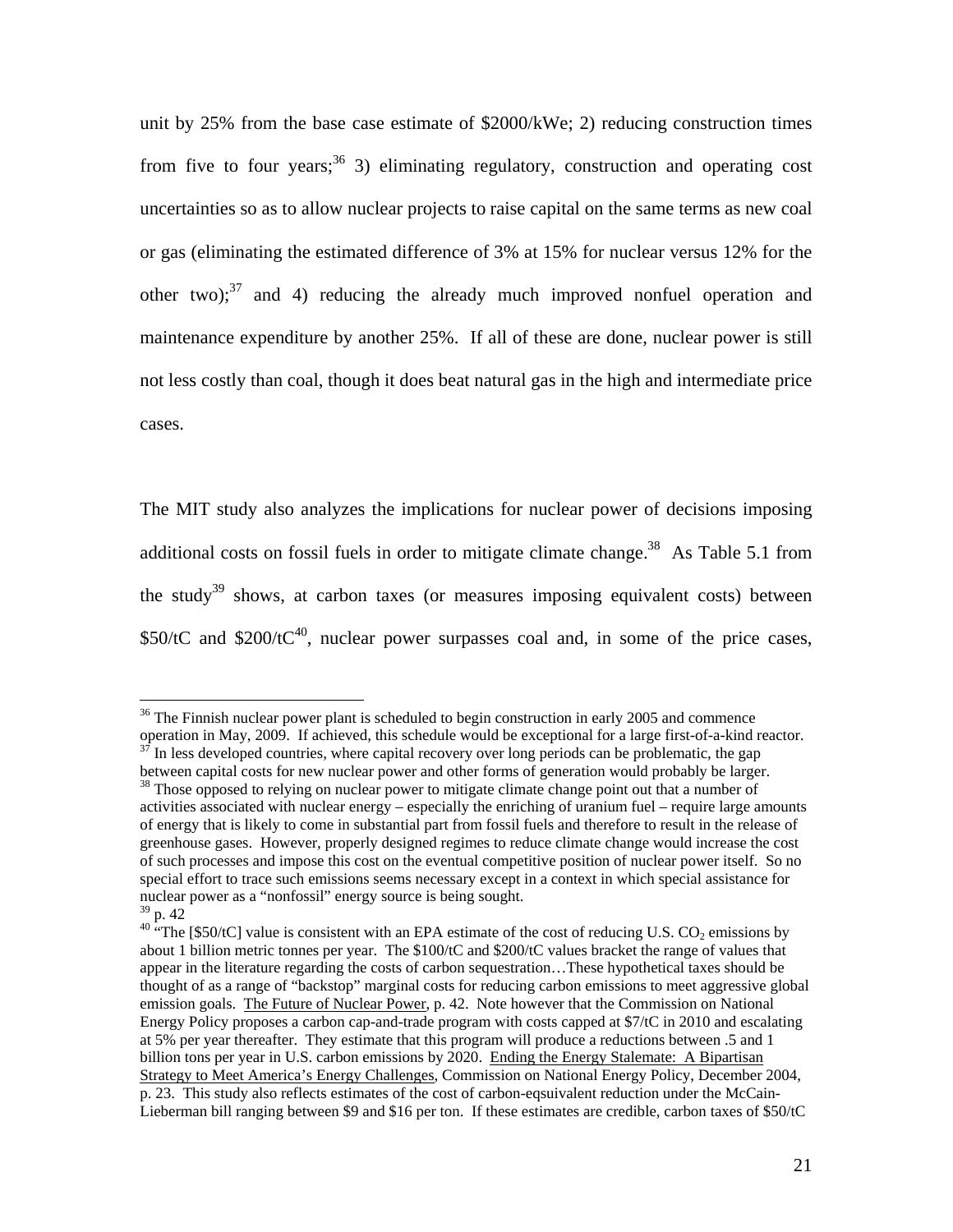unit by 25% from the base case estimate of \$2000/kWe; 2) reducing construction times from five to four years;  $36\,$  3) eliminating regulatory, construction and operating cost uncertainties so as to allow nuclear projects to raise capital on the same terms as new coal or gas (eliminating the estimated difference of 3% at 15% for nuclear versus 12% for the other two);<sup>37</sup> and 4) reducing the already much improved nonfuel operation and maintenance expenditure by another 25%. If all of these are done, nuclear power is still not less costly than coal, though it does beat natural gas in the high and intermediate price cases.

The MIT study also analyzes the implications for nuclear power of decisions imposing additional costs on fossil fuels in order to mitigate climate change.<sup>38</sup> As Table 5.1 from the study<sup>39</sup> shows, at carbon taxes (or measures imposing equivalent costs) between  $$50/tC$  and  $$200/tC^{40}$ , nuclear power surpasses coal and, in some of the price cases,

<span id="page-20-0"></span><sup>&</sup>lt;sup>36</sup> The Finnish nuclear power plant is scheduled to begin construction in early 2005 and commence operation in May, 2009. If achieved, this schedule would be exceptional for a large first-of-a-kind reactor. 37 In less developed countries, where capital recovery over long periods can be problematic, the gap

<span id="page-20-1"></span>between capital costs for new nuclear power and other forms of generation would probably be larger.<br><sup>38</sup> Those opposed to relying on nuclear power to mitigate climate change point out that a number of

<span id="page-20-2"></span>activities associated with nuclear energy – especially the enriching of uranium fuel – require large amounts of energy that is likely to come in substantial part from fossil fuels and therefore to result in the release of greenhouse gases. However, properly designed regimes to reduce climate change would increase the cost of such processes and impose this cost on the eventual competitive position of nuclear power itself. So no special effort to trace such emissions seems necessary except in a context in which special assistance for nuclear power as a "nonfossil" energy source is being sought.  $^{39}$  p.  $42$ 

<span id="page-20-3"></span>

<span id="page-20-4"></span><sup>&</sup>lt;sup>40</sup> "The [\$50/tC] value is consistent with an EPA estimate of the cost of reducing U.S. CO<sub>2</sub> emissions by about 1 billion metric tonnes per year. The \$100/tC and \$200/tC values bracket the range of values that appear in the literature regarding the costs of carbon sequestration…These hypothetical taxes should be thought of as a range of "backstop" marginal costs for reducing carbon emissions to meet aggressive global emission goals. The Future of Nuclear Power, p. 42. Note however that the Commission on National Energy Policy proposes a carbon cap-and-trade program with costs capped at \$7/tC in 2010 and escalating at 5% per year thereafter. They estimate that this program will produce a reductions between .5 and 1 billion tons per year in U.S. carbon emissions by 2020. Ending the Energy Stalemate: A Bipartisan Strategy to Meet America's Energy Challenges, Commission on National Energy Policy, December 2004, p. 23. This study also reflects estimates of the cost of carbon-eqsuivalent reduction under the McCain-Lieberman bill ranging between \$9 and \$16 per ton. If these estimates are credible, carbon taxes of \$50/tC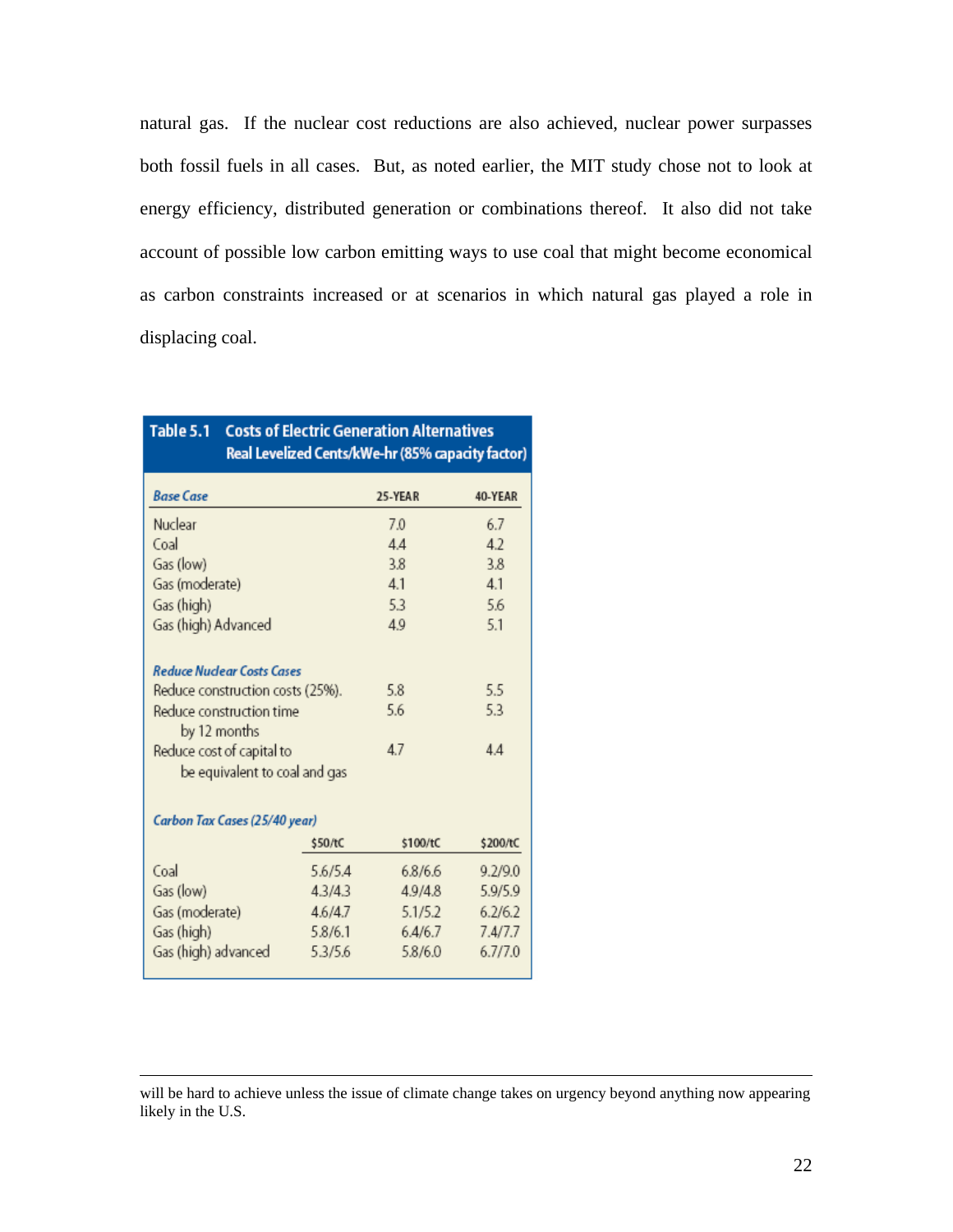natural gas. If the nuclear cost reductions are also achieved, nuclear power surpasses both fossil fuels in all cases. But, as noted earlier, the MIT study chose not to look at energy efficiency, distributed generation or combinations thereof. It also did not take account of possible low carbon emitting ways to use coal that might become economical as carbon constraints increased or at scenarios in which natural gas played a role in displacing coal.

| Table 5.1<br><b>Costs of Electric Generation Alternatives</b><br>Real Levelized Cents/kWe-hr (85% capacity factor) |         |          |          |  |  |  |
|--------------------------------------------------------------------------------------------------------------------|---------|----------|----------|--|--|--|
| <b>Base Case</b>                                                                                                   |         | 25-YEAR  | 40-YEAR  |  |  |  |
| Nuclear                                                                                                            |         | 7.0      | 6.7      |  |  |  |
| Coal                                                                                                               |         | 4.4      | 4.2      |  |  |  |
| Gas (low)                                                                                                          |         | 3.8      | 3.8      |  |  |  |
| Gas (moderate)                                                                                                     |         | 4.1      | 4.1      |  |  |  |
| Gas (high)                                                                                                         |         | 5.3      | 5.6      |  |  |  |
| Gas (high) Advanced                                                                                                |         | 4.9      | 5.1      |  |  |  |
| <b>Reduce Nuclear Costs Cases</b>                                                                                  |         |          |          |  |  |  |
| Reduce construction costs (25%).                                                                                   |         | 5.8      | 5.5      |  |  |  |
| Reduce construction time                                                                                           |         | 5.6      | 5.3      |  |  |  |
| by 12 months                                                                                                       |         | 4.7      | 4.4      |  |  |  |
| Reduce cost of capital to                                                                                          |         |          |          |  |  |  |
| be equivalent to coal and gas                                                                                      |         |          |          |  |  |  |
| Carbon Tax Cases (25/40 year)                                                                                      |         |          |          |  |  |  |
|                                                                                                                    | \$50/tC | \$100/tC | \$200/tC |  |  |  |
| Coal                                                                                                               | 5.6/5.4 | 6.8/6.6  | 9.2/9.0  |  |  |  |
| Gas (low)                                                                                                          | 4.3/4.3 | 4.9/4.8  | 5.9/5.9  |  |  |  |
| Gas (moderate)                                                                                                     | 4.6/4.7 | 5.1/5.2  | 6.2/6.2  |  |  |  |
| Gas (high)                                                                                                         | 5.8/6.1 | 6.4/6.7  | 7.4/7.7  |  |  |  |
| Gas (high) advanced                                                                                                | 5.3/5.6 | 5.8/6.0  | 6.7/7.0  |  |  |  |

will be hard to achieve unless the issue of climate change takes on urgency beyond anything now appearing likely in the U.S.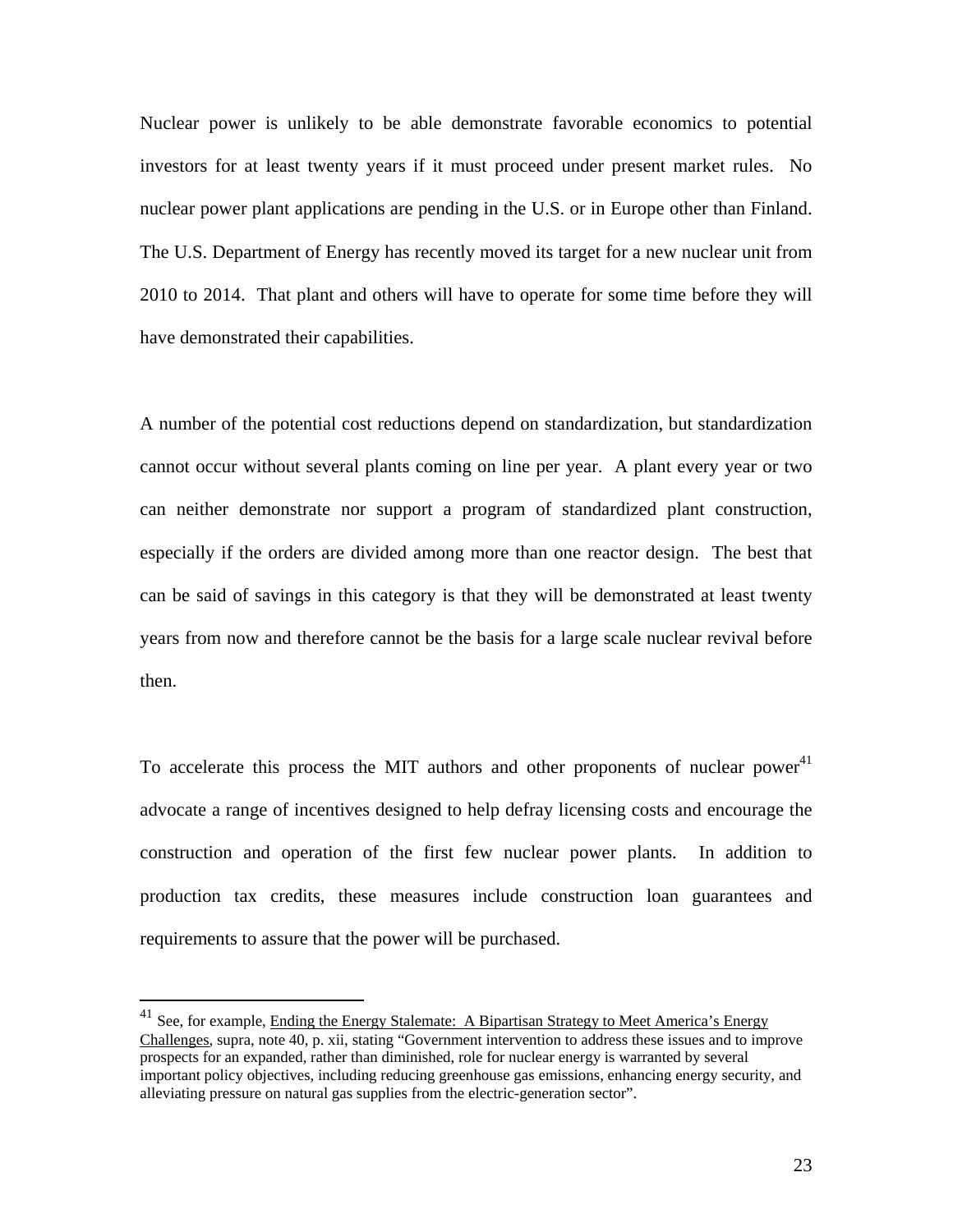Nuclear power is unlikely to be able demonstrate favorable economics to potential investors for at least twenty years if it must proceed under present market rules. No nuclear power plant applications are pending in the U.S. or in Europe other than Finland. The U.S. Department of Energy has recently moved its target for a new nuclear unit from 2010 to 2014. That plant and others will have to operate for some time before they will have demonstrated their capabilities.

A number of the potential cost reductions depend on standardization, but standardization cannot occur without several plants coming on line per year. A plant every year or two can neither demonstrate nor support a program of standardized plant construction, especially if the orders are divided among more than one reactor design. The best that can be said of savings in this category is that they will be demonstrated at least twenty years from now and therefore cannot be the basis for a large scale nuclear revival before then.

To accelerate this process the MIT authors and other proponents of nuclear power $41$ advocate a range of incentives designed to help defray licensing costs and encourage the construction and operation of the first few nuclear power plants. In addition to production tax credits, these measures include construction loan guarantees and requirements to assure that the power will be purchased.

<span id="page-22-0"></span><sup>&</sup>lt;sup>41</sup> See, for example, Ending the Energy Stalemate: A Bipartisan Strategy to Meet America's Energy Challenges, supra, note 40, p. xii, stating "Government intervention to address these issues and to improve prospects for an expanded, rather than diminished, role for nuclear energy is warranted by several important policy objectives, including reducing greenhouse gas emissions, enhancing energy security, and alleviating pressure on natural gas supplies from the electric-generation sector".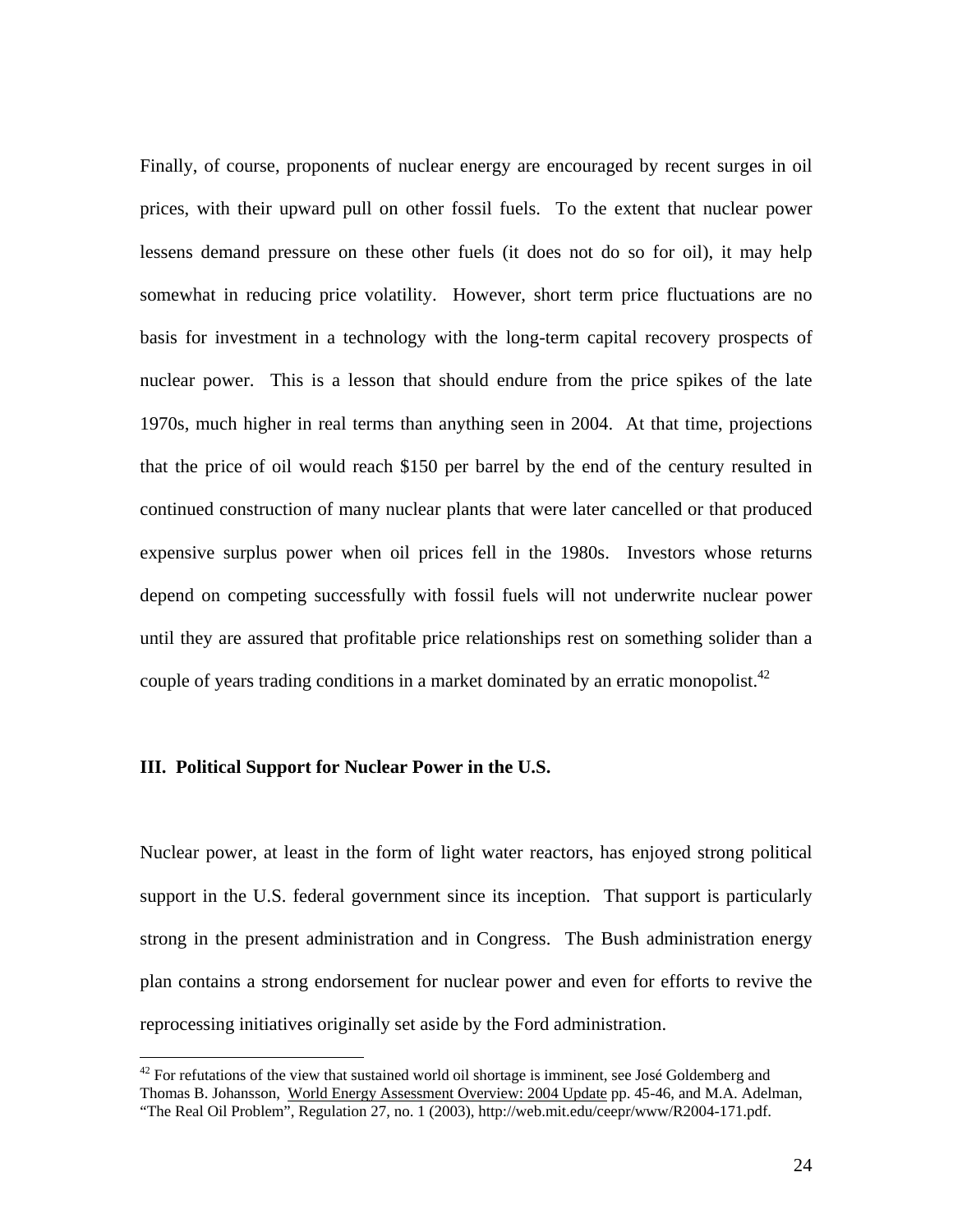Finally, of course, proponents of nuclear energy are encouraged by recent surges in oil prices, with their upward pull on other fossil fuels. To the extent that nuclear power lessens demand pressure on these other fuels (it does not do so for oil), it may help somewhat in reducing price volatility. However, short term price fluctuations are no basis for investment in a technology with the long-term capital recovery prospects of nuclear power. This is a lesson that should endure from the price spikes of the late 1970s, much higher in real terms than anything seen in 2004. At that time, projections that the price of oil would reach \$150 per barrel by the end of the century resulted in continued construction of many nuclear plants that were later cancelled or that produced expensive surplus power when oil prices fell in the 1980s. Investors whose returns depend on competing successfully with fossil fuels will not underwrite nuclear power until they are assured that profitable price relationships rest on something solider than a couple of years trading conditions in a market dominated by an erratic monopolist.<sup>42</sup>

#### **III. Political Support for Nuclear Power in the U.S.**

 $\overline{a}$ 

Nuclear power, at least in the form of light water reactors, has enjoyed strong political support in the U.S. federal government since its inception. That support is particularly strong in the present administration and in Congress. The Bush administration energy plan contains a strong endorsement for nuclear power and even for efforts to revive the reprocessing initiatives originally set aside by the Ford administration.

<span id="page-23-0"></span> $42$  For refutations of the view that sustained world oil shortage is imminent, see José Goldemberg and Thomas B. Johansson, World Energy Assessment Overview: 2004 Update pp. 45-46, and M.A. Adelman, "The Real Oil Problem", Regulation 27, no. 1 (2003), http://web.mit.edu/ceepr/www/R2004-171.pdf.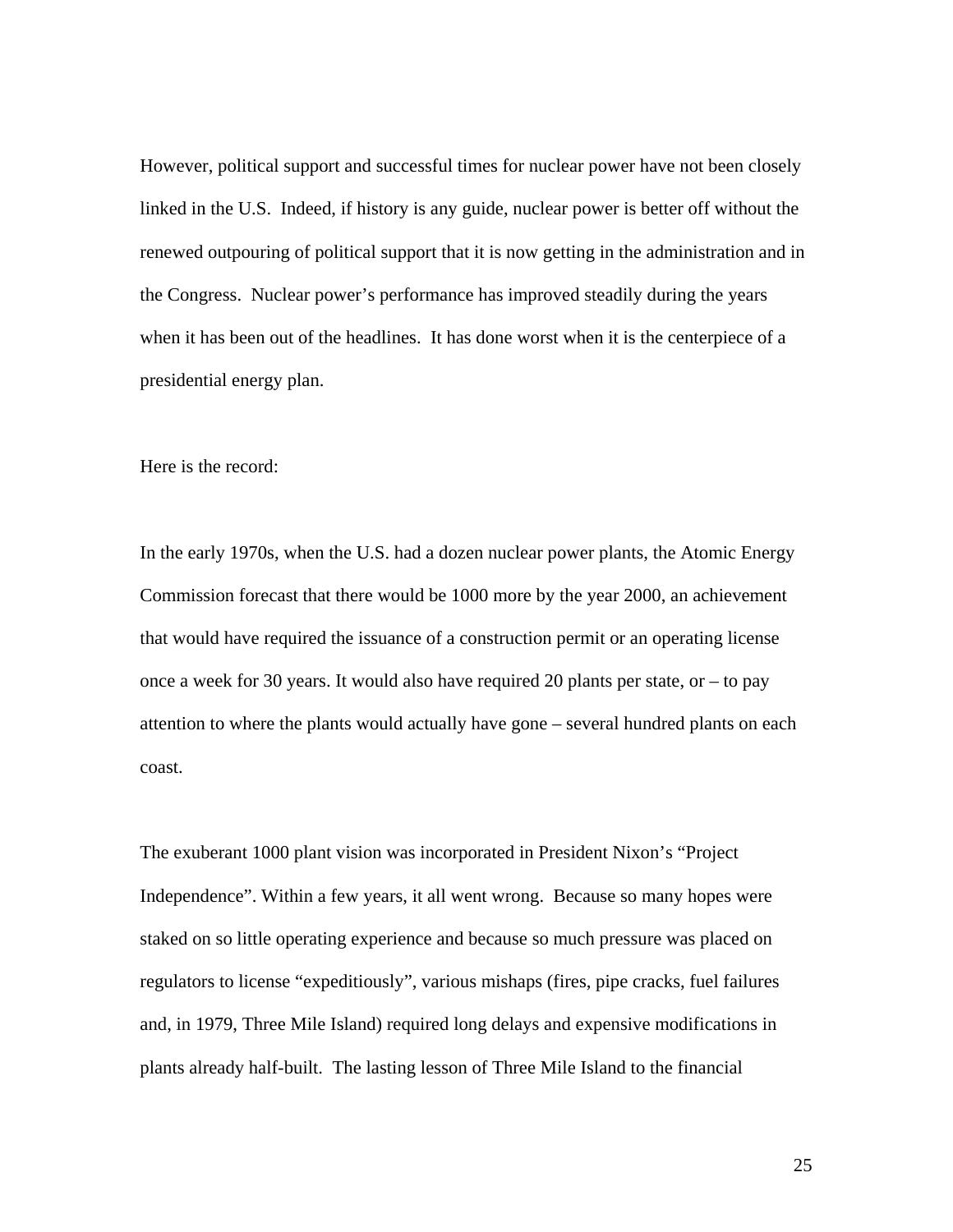However, political support and successful times for nuclear power have not been closely linked in the U.S. Indeed, if history is any guide, nuclear power is better off without the renewed outpouring of political support that it is now getting in the administration and in the Congress. Nuclear power's performance has improved steadily during the years when it has been out of the headlines. It has done worst when it is the centerpiece of a presidential energy plan.

Here is the record:

In the early 1970s, when the U.S. had a dozen nuclear power plants, the Atomic Energy Commission forecast that there would be 1000 more by the year 2000, an achievement that would have required the issuance of a construction permit or an operating license once a week for 30 years. It would also have required 20 plants per state, or  $-$  to pay attention to where the plants would actually have gone – several hundred plants on each coast.

The exuberant 1000 plant vision was incorporated in President Nixon's "Project Independence". Within a few years, it all went wrong. Because so many hopes were staked on so little operating experience and because so much pressure was placed on regulators to license "expeditiously", various mishaps (fires, pipe cracks, fuel failures and, in 1979, Three Mile Island) required long delays and expensive modifications in plants already half-built. The lasting lesson of Three Mile Island to the financial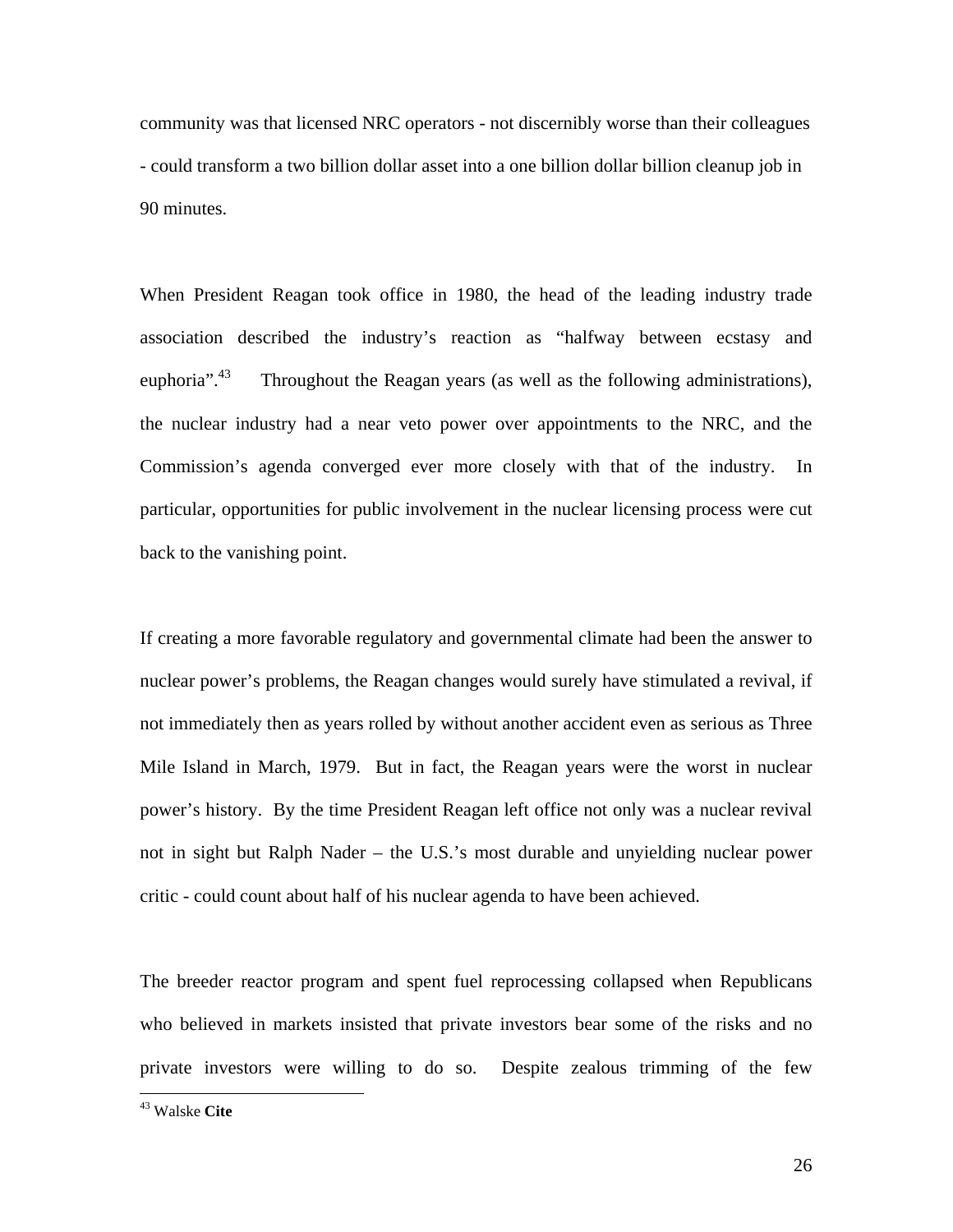community was that licensed NRC operators - not discernibly worse than their colleagues - could transform a two billion dollar asset into a one billion dollar billion cleanup job in 90 minutes.

When President Reagan took office in 1980, the head of the leading industry trade association described the industry's reaction as "halfway between ecstasy and euphoria".<sup>43</sup> Throughout the Reagan years (as well as the following administrations), the nuclear industry had a near veto power over appointments to the NRC, and the Commission's agenda converged ever more closely with that of the industry. In particular, opportunities for public involvement in the nuclear licensing process were cut back to the vanishing point.

If creating a more favorable regulatory and governmental climate had been the answer to nuclear power's problems, the Reagan changes would surely have stimulated a revival, if not immediately then as years rolled by without another accident even as serious as Three Mile Island in March, 1979. But in fact, the Reagan years were the worst in nuclear power's history. By the time President Reagan left office not only was a nuclear revival not in sight but Ralph Nader – the U.S.'s most durable and unyielding nuclear power critic - could count about half of his nuclear agenda to have been achieved.

The breeder reactor program and spent fuel reprocessing collapsed when Republicans who believed in markets insisted that private investors bear some of the risks and no private investors were willing to do so. Despite zealous trimming of the few

<u>.</u>

<span id="page-25-0"></span><sup>43</sup> Walske **Cite**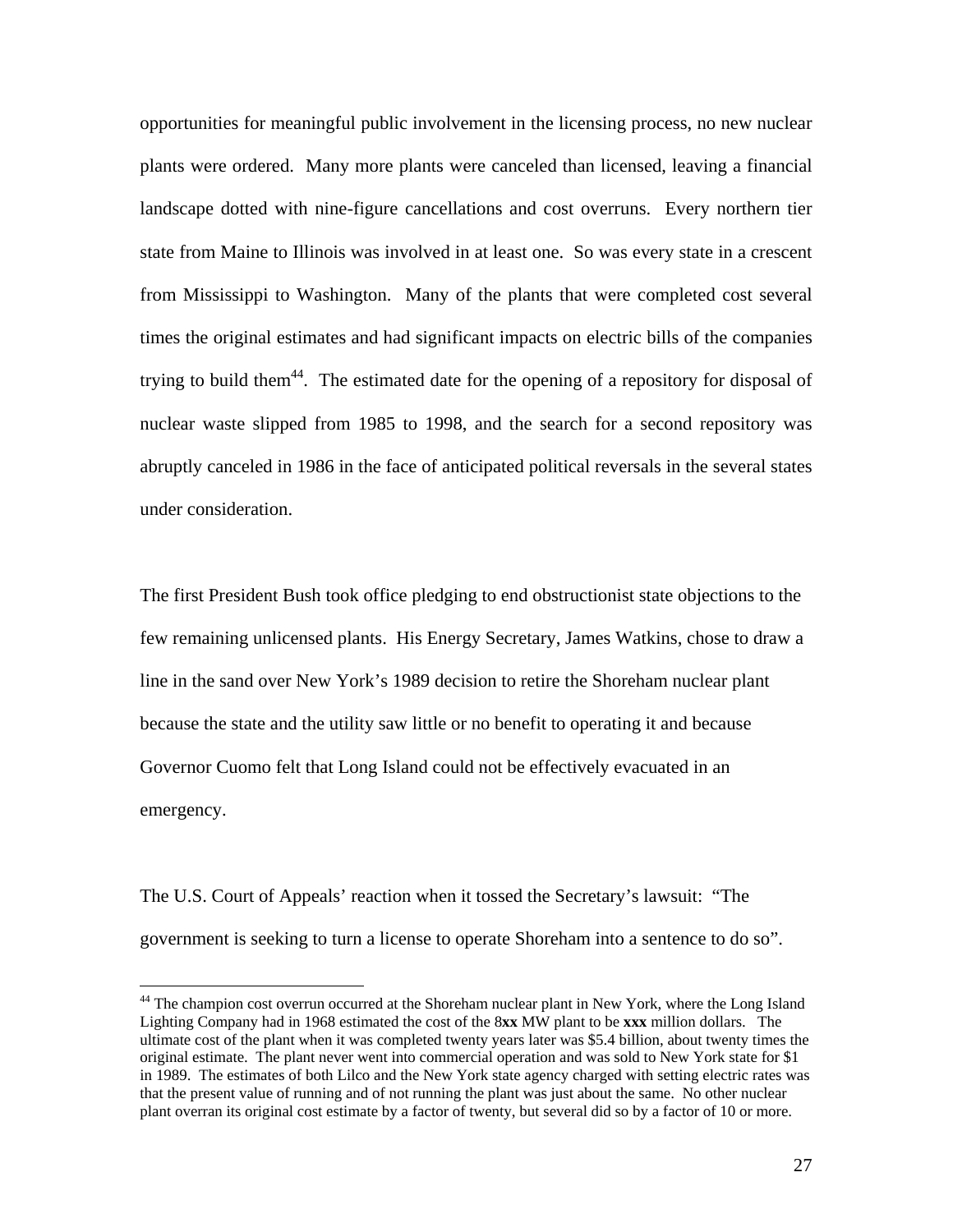opportunities for meaningful public involvement in the licensing process, no new nuclear plants were ordered. Many more plants were canceled than licensed, leaving a financial landscape dotted with nine-figure cancellations and cost overruns. Every northern tier state from Maine to Illinois was involved in at least one. So was every state in a crescent from Mississippi to Washington. Many of the plants that were completed cost several times the original estimates and had significant impacts on electric bills of the companies trying to build them<sup>44</sup>. The estimated date for the opening of a repository for disposal of nuclear waste slipped from 1985 to 1998, and the search for a second repository was abruptly canceled in 1986 in the face of anticipated political reversals in the several states under consideration.

The first President Bush took office pledging to end obstructionist state objections to the few remaining unlicensed plants. His Energy Secretary, James Watkins, chose to draw a line in the sand over New York's 1989 decision to retire the Shoreham nuclear plant because the state and the utility saw little or no benefit to operating it and because Governor Cuomo felt that Long Island could not be effectively evacuated in an emergency.

The U.S. Court of Appeals' reaction when it tossed the Secretary's lawsuit: "The government is seeking to turn a license to operate Shoreham into a sentence to do so".

<span id="page-26-0"></span><sup>&</sup>lt;sup>44</sup> The champion cost overrun occurred at the Shoreham nuclear plant in New York, where the Long Island Lighting Company had in 1968 estimated the cost of the 8**xx** MW plant to be **xxx** million dollars. The ultimate cost of the plant when it was completed twenty years later was \$5.4 billion, about twenty times the original estimate. The plant never went into commercial operation and was sold to New York state for \$1 in 1989. The estimates of both Lilco and the New York state agency charged with setting electric rates was that the present value of running and of not running the plant was just about the same. No other nuclear plant overran its original cost estimate by a factor of twenty, but several did so by a factor of 10 or more.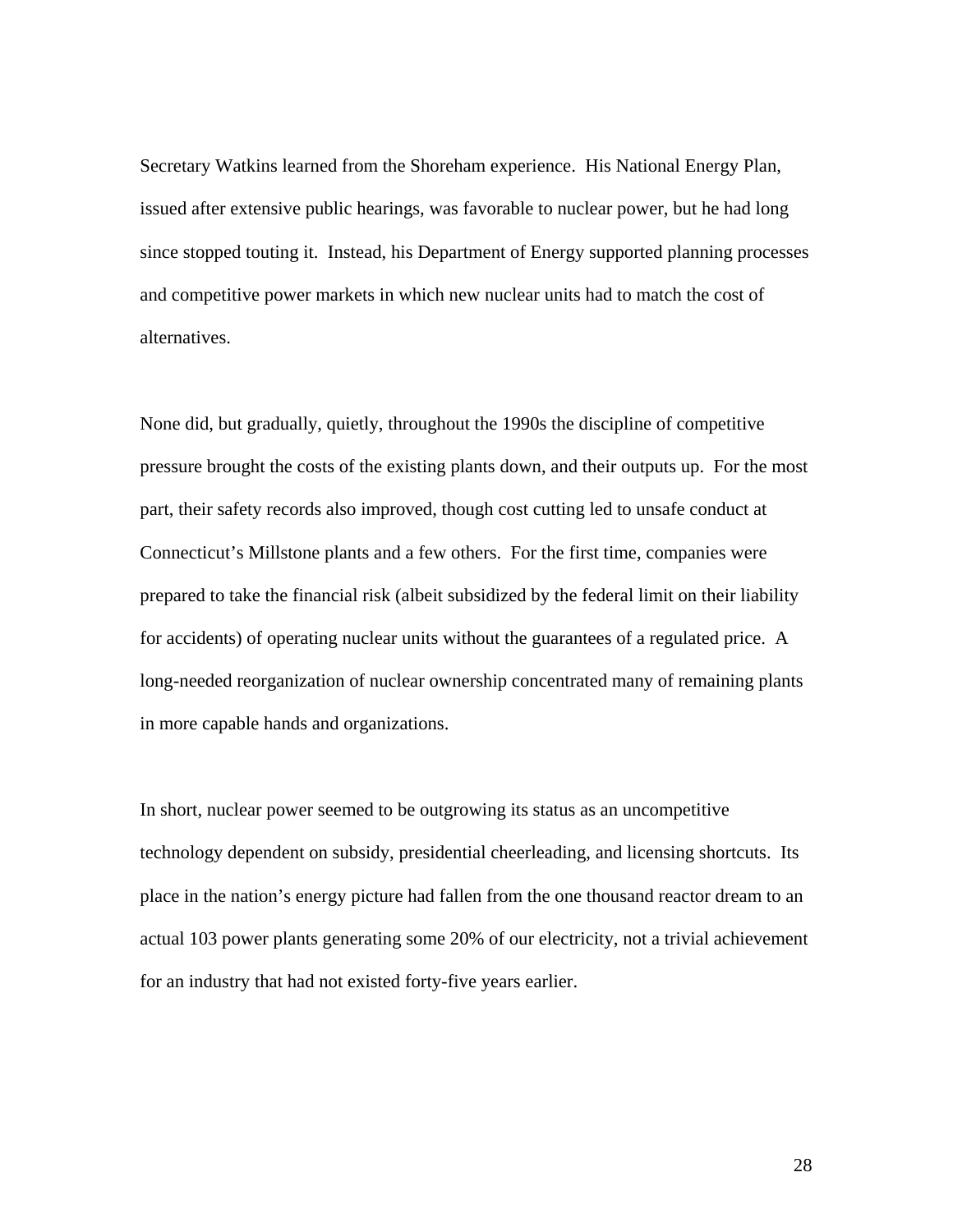Secretary Watkins learned from the Shoreham experience. His National Energy Plan, issued after extensive public hearings, was favorable to nuclear power, but he had long since stopped touting it. Instead, his Department of Energy supported planning processes and competitive power markets in which new nuclear units had to match the cost of alternatives.

None did, but gradually, quietly, throughout the 1990s the discipline of competitive pressure brought the costs of the existing plants down, and their outputs up. For the most part, their safety records also improved, though cost cutting led to unsafe conduct at Connecticut's Millstone plants and a few others. For the first time, companies were prepared to take the financial risk (albeit subsidized by the federal limit on their liability for accidents) of operating nuclear units without the guarantees of a regulated price. A long-needed reorganization of nuclear ownership concentrated many of remaining plants in more capable hands and organizations.

In short, nuclear power seemed to be outgrowing its status as an uncompetitive technology dependent on subsidy, presidential cheerleading, and licensing shortcuts. Its place in the nation's energy picture had fallen from the one thousand reactor dream to an actual 103 power plants generating some 20% of our electricity, not a trivial achievement for an industry that had not existed forty-five years earlier.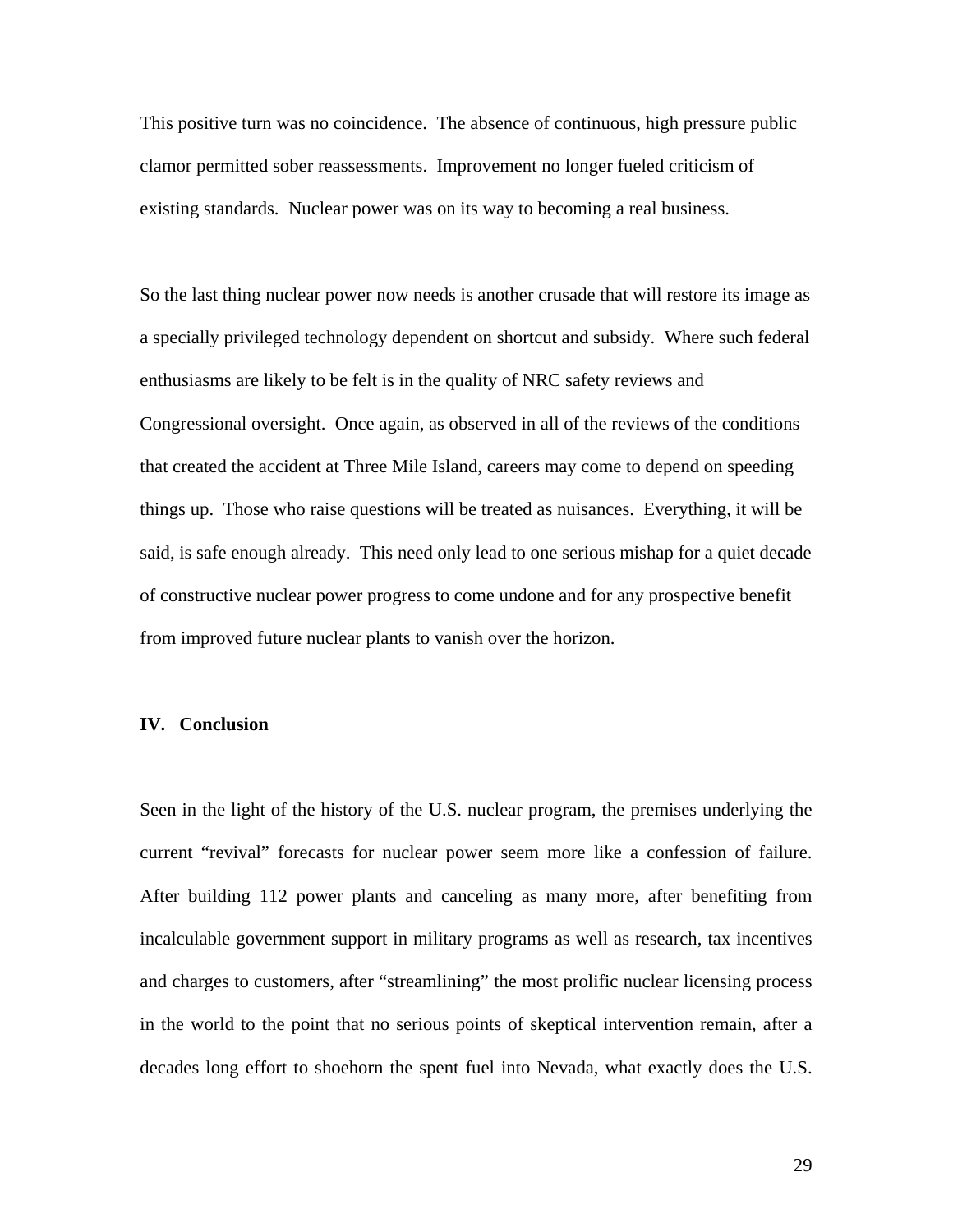This positive turn was no coincidence. The absence of continuous, high pressure public clamor permitted sober reassessments. Improvement no longer fueled criticism of existing standards. Nuclear power was on its way to becoming a real business.

So the last thing nuclear power now needs is another crusade that will restore its image as a specially privileged technology dependent on shortcut and subsidy. Where such federal enthusiasms are likely to be felt is in the quality of NRC safety reviews and Congressional oversight. Once again, as observed in all of the reviews of the conditions that created the accident at Three Mile Island, careers may come to depend on speeding things up. Those who raise questions will be treated as nuisances. Everything, it will be said, is safe enough already. This need only lead to one serious mishap for a quiet decade of constructive nuclear power progress to come undone and for any prospective benefit from improved future nuclear plants to vanish over the horizon.

#### **IV. Conclusion**

Seen in the light of the history of the U.S. nuclear program, the premises underlying the current "revival" forecasts for nuclear power seem more like a confession of failure. After building 112 power plants and canceling as many more, after benefiting from incalculable government support in military programs as well as research, tax incentives and charges to customers, after "streamlining" the most prolific nuclear licensing process in the world to the point that no serious points of skeptical intervention remain, after a decades long effort to shoehorn the spent fuel into Nevada, what exactly does the U.S.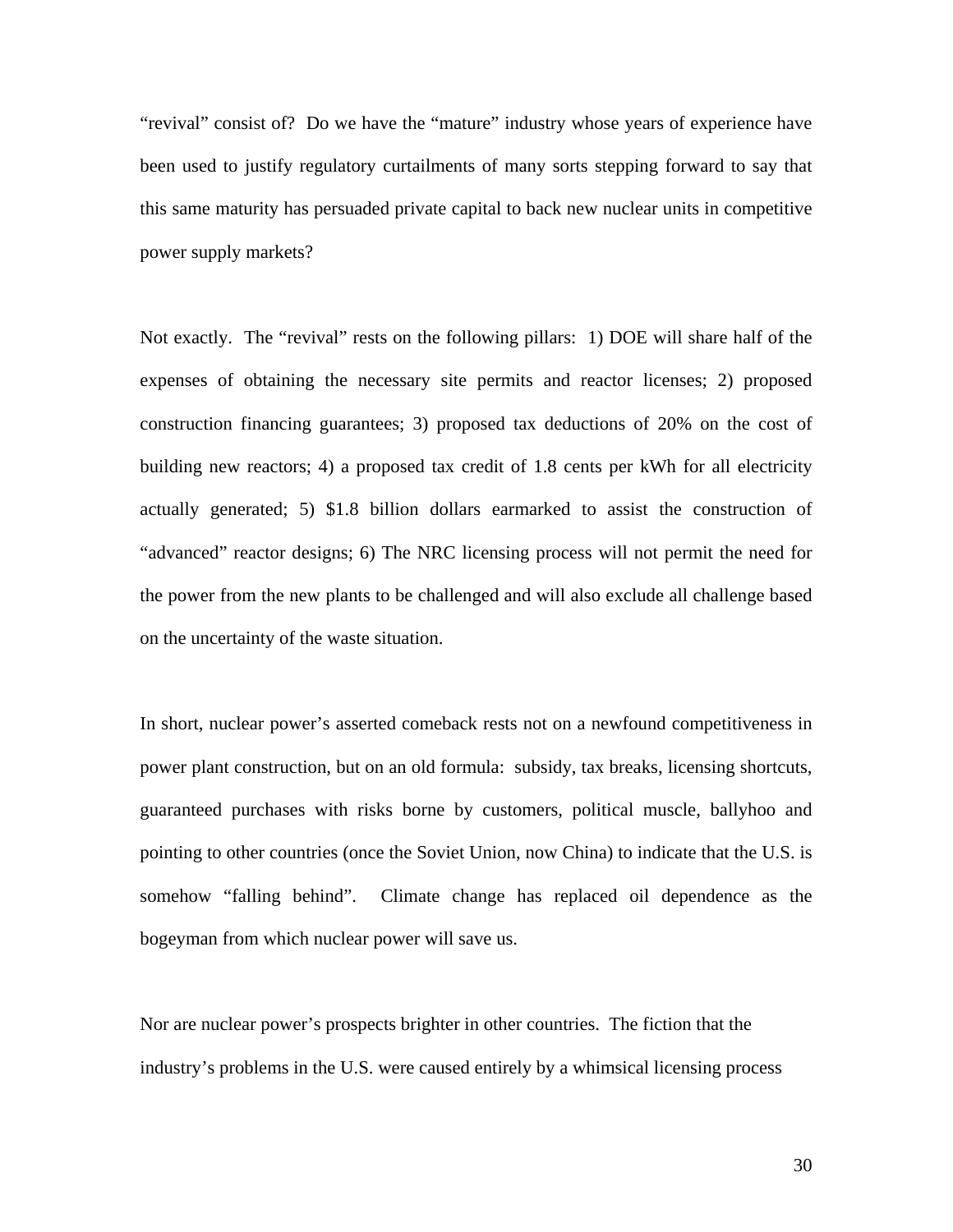"revival" consist of? Do we have the "mature" industry whose years of experience have been used to justify regulatory curtailments of many sorts stepping forward to say that this same maturity has persuaded private capital to back new nuclear units in competitive power supply markets?

Not exactly. The "revival" rests on the following pillars: 1) DOE will share half of the expenses of obtaining the necessary site permits and reactor licenses; 2) proposed construction financing guarantees; 3) proposed tax deductions of 20% on the cost of building new reactors; 4) a proposed tax credit of 1.8 cents per kWh for all electricity actually generated; 5) \$1.8 billion dollars earmarked to assist the construction of "advanced" reactor designs; 6) The NRC licensing process will not permit the need for the power from the new plants to be challenged and will also exclude all challenge based on the uncertainty of the waste situation.

In short, nuclear power's asserted comeback rests not on a newfound competitiveness in power plant construction, but on an old formula: subsidy, tax breaks, licensing shortcuts, guaranteed purchases with risks borne by customers, political muscle, ballyhoo and pointing to other countries (once the Soviet Union, now China) to indicate that the U.S. is somehow "falling behind". Climate change has replaced oil dependence as the bogeyman from which nuclear power will save us.

Nor are nuclear power's prospects brighter in other countries. The fiction that the industry's problems in the U.S. were caused entirely by a whimsical licensing process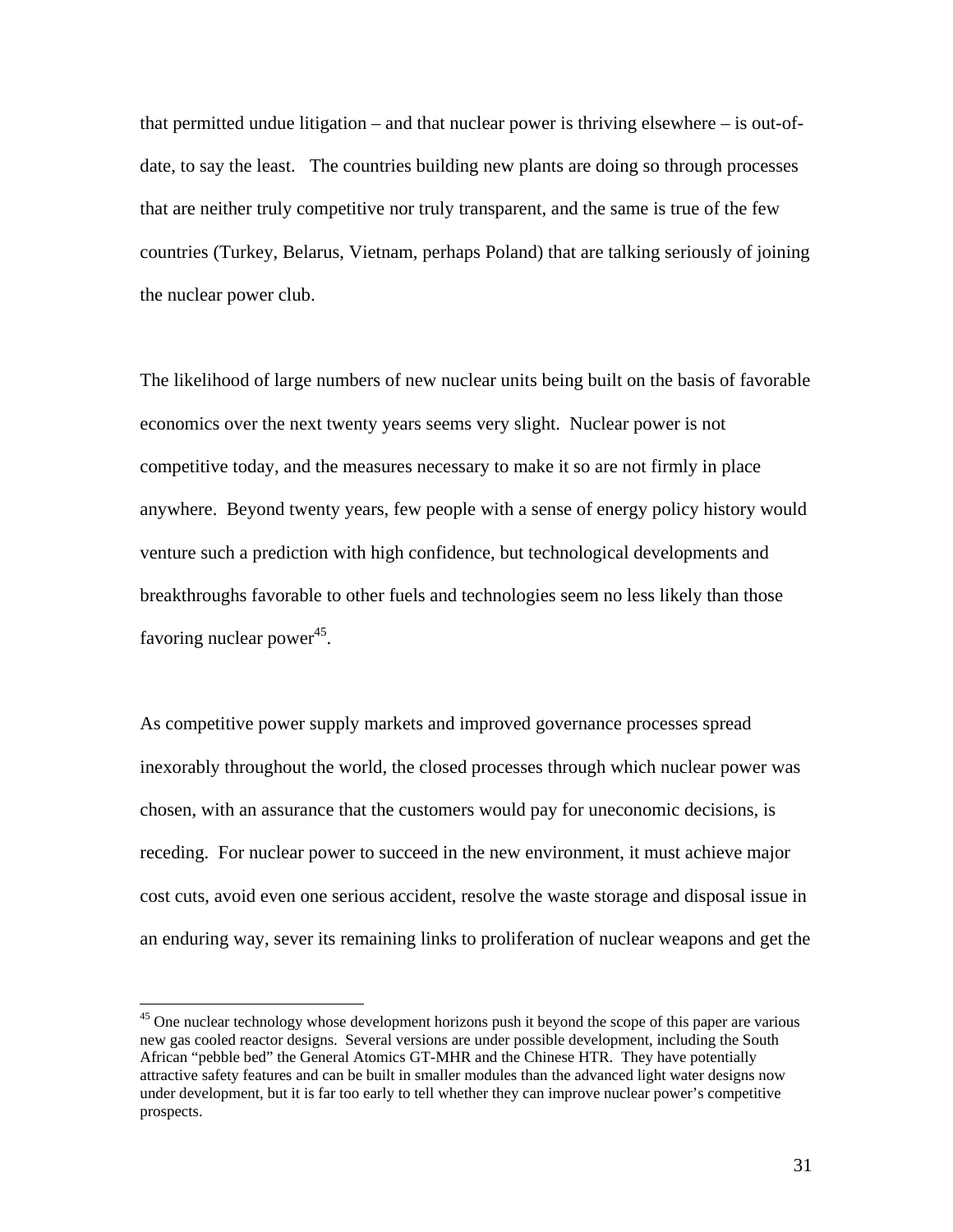that permitted undue litigation – and that nuclear power is thriving elsewhere – is out-ofdate, to say the least. The countries building new plants are doing so through processes that are neither truly competitive nor truly transparent, and the same is true of the few countries (Turkey, Belarus, Vietnam, perhaps Poland) that are talking seriously of joining the nuclear power club.

The likelihood of large numbers of new nuclear units being built on the basis of favorable economics over the next twenty years seems very slight. Nuclear power is not competitive today, and the measures necessary to make it so are not firmly in place anywhere. Beyond twenty years, few people with a sense of energy policy history would venture such a prediction with high confidence, but technological developments and breakthroughs favorable to other fuels and technologies seem no less likely than those favoring nuclear power<sup>45</sup>.

As competitive power supply markets and improved governance processes spread inexorably throughout the world, the closed processes through which nuclear power was chosen, with an assurance that the customers would pay for uneconomic decisions, is receding. For nuclear power to succeed in the new environment, it must achieve major cost cuts, avoid even one serious accident, resolve the waste storage and disposal issue in an enduring way, sever its remaining links to proliferation of nuclear weapons and get the

<span id="page-30-0"></span> $45$  One nuclear technology whose development horizons push it beyond the scope of this paper are various new gas cooled reactor designs. Several versions are under possible development, including the South African "pebble bed" the General Atomics GT-MHR and the Chinese HTR. They have potentially attractive safety features and can be built in smaller modules than the advanced light water designs now under development, but it is far too early to tell whether they can improve nuclear power's competitive prospects.